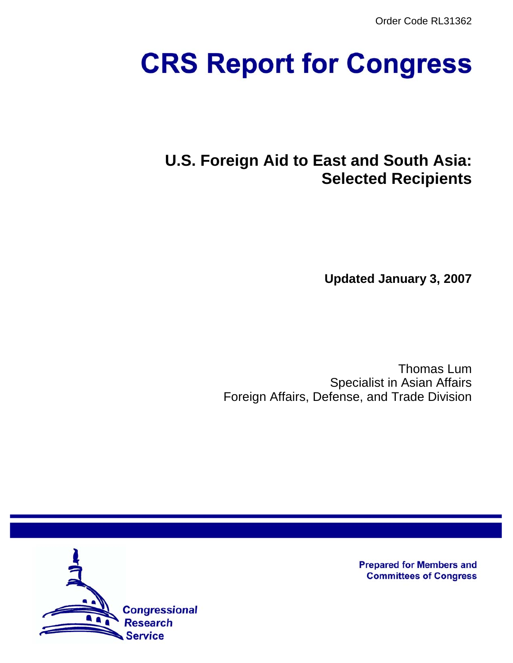Order Code RL31362

# **CRS Report for Congress**

# **U.S. Foreign Aid to East and South Asia: Selected Recipients**

**Updated January 3, 2007**

Thomas Lum Specialist in Asian Affairs Foreign Affairs, Defense, and Trade Division



**Prepared for Members and Committees of Congress**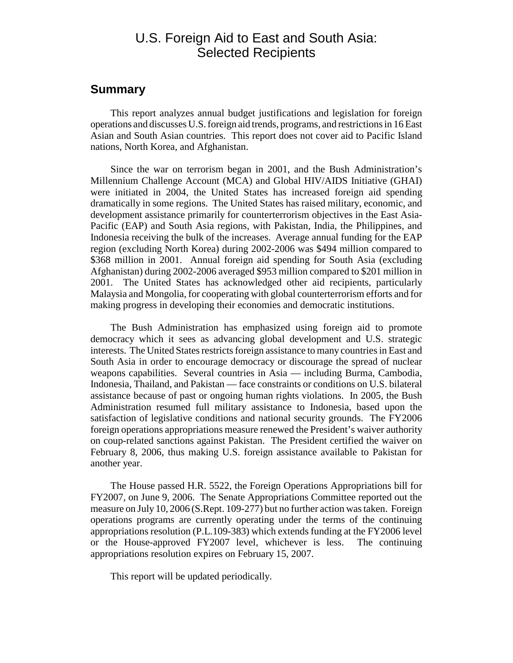# U.S. Foreign Aid to East and South Asia: Selected Recipients

#### **Summary**

This report analyzes annual budget justifications and legislation for foreign operations and discusses U.S. foreign aid trends, programs, and restrictions in 16 East Asian and South Asian countries. This report does not cover aid to Pacific Island nations, North Korea, and Afghanistan.

Since the war on terrorism began in 2001, and the Bush Administration's Millennium Challenge Account (MCA) and Global HIV/AIDS Initiative (GHAI) were initiated in 2004, the United States has increased foreign aid spending dramatically in some regions. The United States has raised military, economic, and development assistance primarily for counterterrorism objectives in the East Asia-Pacific (EAP) and South Asia regions, with Pakistan, India, the Philippines, and Indonesia receiving the bulk of the increases. Average annual funding for the EAP region (excluding North Korea) during 2002-2006 was \$494 million compared to \$368 million in 2001. Annual foreign aid spending for South Asia (excluding Afghanistan) during 2002-2006 averaged \$953 million compared to \$201 million in 2001. The United States has acknowledged other aid recipients, particularly Malaysia and Mongolia, for cooperating with global counterterrorism efforts and for making progress in developing their economies and democratic institutions.

The Bush Administration has emphasized using foreign aid to promote democracy which it sees as advancing global development and U.S. strategic interests. The United States restricts foreign assistance to many countries in East and South Asia in order to encourage democracy or discourage the spread of nuclear weapons capabilities. Several countries in Asia — including Burma, Cambodia, Indonesia, Thailand, and Pakistan — face constraints or conditions on U.S. bilateral assistance because of past or ongoing human rights violations. In 2005, the Bush Administration resumed full military assistance to Indonesia, based upon the satisfaction of legislative conditions and national security grounds. The FY2006 foreign operations appropriations measure renewed the President's waiver authority on coup-related sanctions against Pakistan. The President certified the waiver on February 8, 2006, thus making U.S. foreign assistance available to Pakistan for another year.

The House passed H.R. 5522, the Foreign Operations Appropriations bill for FY2007, on June 9, 2006. The Senate Appropriations Committee reported out the measure on July 10, 2006 (S.Rept. 109-277) but no further action was taken. Foreign operations programs are currently operating under the terms of the continuing appropriations resolution (P.L.109-383) which extends funding at the FY2006 level or the House-approved FY2007 level, whichever is less. The continuing appropriations resolution expires on February 15, 2007.

This report will be updated periodically.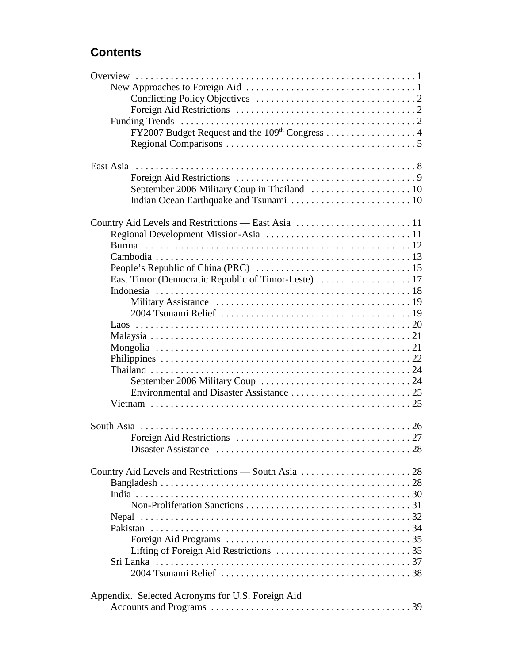# **Contents**

| Country Aid Levels and Restrictions - South Asia  28 |
|------------------------------------------------------|
|                                                      |
|                                                      |
|                                                      |
|                                                      |
|                                                      |
|                                                      |
|                                                      |
|                                                      |
|                                                      |
|                                                      |
| Appendix. Selected Acronyms for U.S. Foreign Aid     |
|                                                      |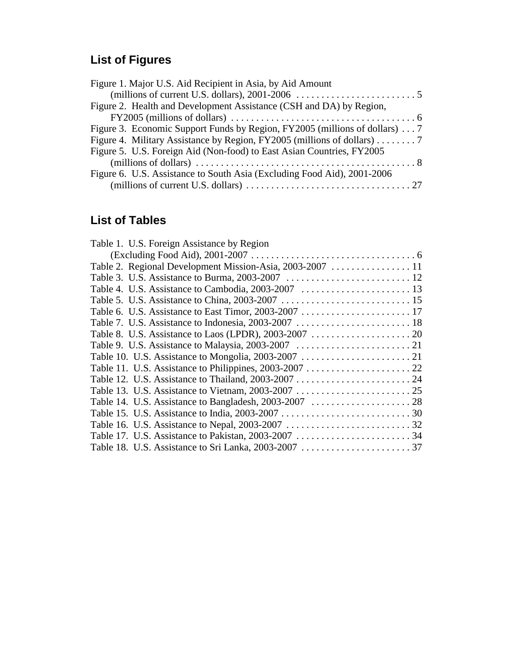# **List of Figures**

| Figure 1. Major U.S. Aid Recipient in Asia, by Aid Amount                                       |
|-------------------------------------------------------------------------------------------------|
| (millions of current U.S. dollars), 2001-2006 $\dots \dots \dots \dots \dots \dots \dots \dots$ |
| Figure 2. Health and Development Assistance (CSH and DA) by Region,                             |
|                                                                                                 |
| Figure 3. Economic Support Funds by Region, FY2005 (millions of dollars) 7                      |
| Figure 4. Military Assistance by Region, FY2005 (millions of dollars) 7                         |
| Figure 5. U.S. Foreign Aid (Non-food) to East Asian Countries, FY2005                           |
|                                                                                                 |
| Figure 6. U.S. Assistance to South Asia (Excluding Food Aid), 2001-2006                         |
|                                                                                                 |

# **List of Tables**

| Table 1. U.S. Foreign Assistance by Region |  |
|--------------------------------------------|--|
|                                            |  |
|                                            |  |
|                                            |  |
|                                            |  |
|                                            |  |
|                                            |  |
|                                            |  |
|                                            |  |
|                                            |  |
|                                            |  |
|                                            |  |
|                                            |  |
|                                            |  |
|                                            |  |
|                                            |  |
|                                            |  |
|                                            |  |
|                                            |  |
|                                            |  |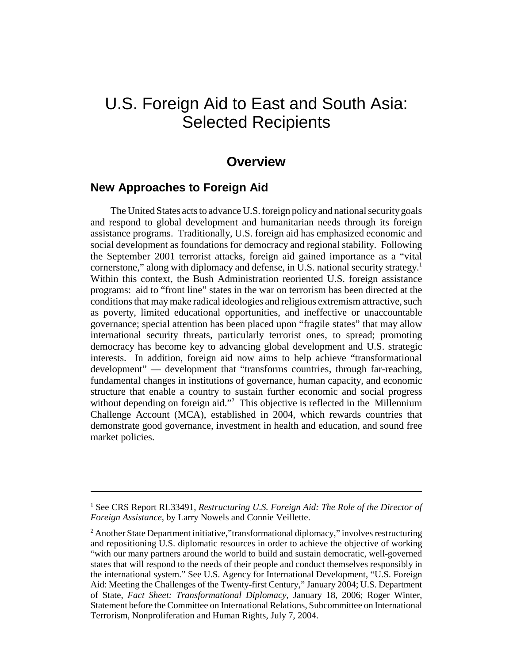# U.S. Foreign Aid to East and South Asia: Selected Recipients

# **Overview**

# **New Approaches to Foreign Aid**

The United States acts to advance U.S. foreign policy and national security goals and respond to global development and humanitarian needs through its foreign assistance programs. Traditionally, U.S. foreign aid has emphasized economic and social development as foundations for democracy and regional stability. Following the September 2001 terrorist attacks, foreign aid gained importance as a "vital cornerstone," along with diplomacy and defense, in U.S. national security strategy.<sup>1</sup> Within this context, the Bush Administration reoriented U.S. foreign assistance programs: aid to "front line" states in the war on terrorism has been directed at the conditions that may make radical ideologies and religious extremism attractive, such as poverty, limited educational opportunities, and ineffective or unaccountable governance; special attention has been placed upon "fragile states" that may allow international security threats, particularly terrorist ones, to spread; promoting democracy has become key to advancing global development and U.S. strategic interests. In addition, foreign aid now aims to help achieve "transformational development" — development that "transforms countries, through far-reaching, fundamental changes in institutions of governance, human capacity, and economic structure that enable a country to sustain further economic and social progress without depending on foreign aid."<sup>2</sup> This objective is reflected in the Millennium Challenge Account (MCA), established in 2004, which rewards countries that demonstrate good governance, investment in health and education, and sound free market policies.

<sup>&</sup>lt;sup>1</sup> See CRS Report RL33491, Restructuring U.S. Foreign Aid: The Role of the Director of *Foreign Assistance*, by Larry Nowels and Connie Veillette.

<sup>&</sup>lt;sup>2</sup> Another State Department initiative,"transformational diplomacy," involves restructuring and repositioning U.S. diplomatic resources in order to achieve the objective of working "with our many partners around the world to build and sustain democratic, well-governed states that will respond to the needs of their people and conduct themselves responsibly in the international system." See U.S. Agency for International Development, "U.S. Foreign Aid: Meeting the Challenges of the Twenty-first Century," January 2004; U.S. Department of State, *Fact Sheet: Transformational Diplomacy*, January 18, 2006; Roger Winter, Statement before the Committee on International Relations, Subcommittee on International Terrorism, Nonproliferation and Human Rights, July 7, 2004.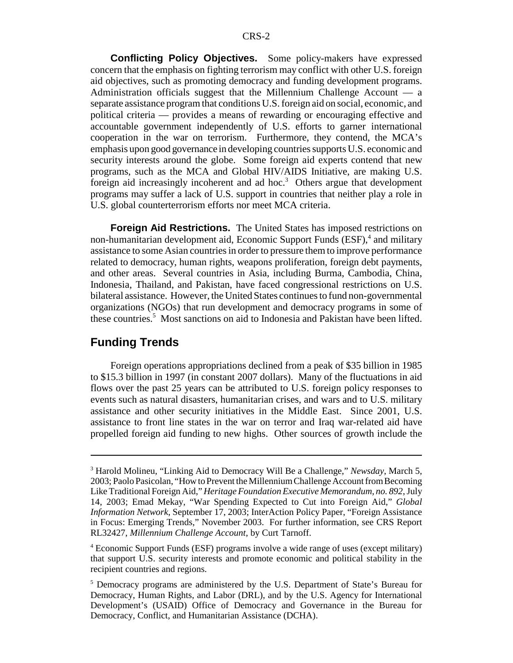**Conflicting Policy Objectives.** Some policy-makers have expressed concern that the emphasis on fighting terrorism may conflict with other U.S. foreign aid objectives, such as promoting democracy and funding development programs. Administration officials suggest that the Millennium Challenge Account — a separate assistance program that conditions U.S. foreign aid on social, economic, and political criteria — provides a means of rewarding or encouraging effective and accountable government independently of U.S. efforts to garner international cooperation in the war on terrorism. Furthermore, they contend, the MCA's emphasis upon good governance in developing countries supports U.S. economic and security interests around the globe. Some foreign aid experts contend that new programs, such as the MCA and Global HIV/AIDS Initiative, are making U.S. foreign aid increasingly incoherent and ad hoc.<sup>3</sup> Others argue that development programs may suffer a lack of U.S. support in countries that neither play a role in U.S. global counterterrorism efforts nor meet MCA criteria.

**Foreign Aid Restrictions.** The United States has imposed restrictions on non-humanitarian development aid, Economic Support Funds (ESF),<sup>4</sup> and military assistance to some Asian countries in order to pressure them to improve performance related to democracy, human rights, weapons proliferation, foreign debt payments, and other areas. Several countries in Asia, including Burma, Cambodia, China, Indonesia, Thailand, and Pakistan, have faced congressional restrictions on U.S. bilateral assistance. However, the United States continues to fund non-governmental organizations (NGOs) that run development and democracy programs in some of these countries.<sup>5</sup> Most sanctions on aid to Indonesia and Pakistan have been lifted.

### **Funding Trends**

Foreign operations appropriations declined from a peak of \$35 billion in 1985 to \$15.3 billion in 1997 (in constant 2007 dollars). Many of the fluctuations in aid flows over the past 25 years can be attributed to U.S. foreign policy responses to events such as natural disasters, humanitarian crises, and wars and to U.S. military assistance and other security initiatives in the Middle East. Since 2001, U.S. assistance to front line states in the war on terror and Iraq war-related aid have propelled foreign aid funding to new highs. Other sources of growth include the

<sup>3</sup> Harold Molineu, "Linking Aid to Democracy Will Be a Challenge," *Newsday*, March 5, 2003; Paolo Pasicolan, "How to Prevent the Millennium Challenge Account from Becoming Like Traditional Foreign Aid," *Heritage Foundation Executive Memorandum*, *no. 892*, July 14, 2003; Emad Mekay, "War Spending Expected to Cut into Foreign Aid," *Global Information Network*, September 17, 2003; InterAction Policy Paper, "Foreign Assistance in Focus: Emerging Trends," November 2003. For further information, see CRS Report RL32427, *Millennium Challenge Account*, by Curt Tarnoff.

<sup>&</sup>lt;sup>4</sup> Economic Support Funds (ESF) programs involve a wide range of uses (except military) that support U.S. security interests and promote economic and political stability in the recipient countries and regions.

<sup>&</sup>lt;sup>5</sup> Democracy programs are administered by the U.S. Department of State's Bureau for Democracy, Human Rights, and Labor (DRL), and by the U.S. Agency for International Development's (USAID) Office of Democracy and Governance in the Bureau for Democracy, Conflict, and Humanitarian Assistance (DCHA).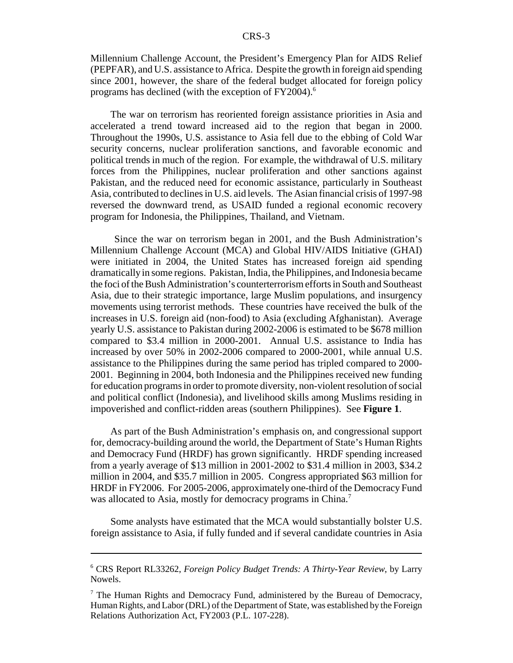Millennium Challenge Account, the President's Emergency Plan for AIDS Relief (PEPFAR), and U.S. assistance to Africa. Despite the growth in foreign aid spending since 2001, however, the share of the federal budget allocated for foreign policy programs has declined (with the exception of FY2004).6

The war on terrorism has reoriented foreign assistance priorities in Asia and accelerated a trend toward increased aid to the region that began in 2000. Throughout the 1990s, U.S. assistance to Asia fell due to the ebbing of Cold War security concerns, nuclear proliferation sanctions, and favorable economic and political trends in much of the region. For example, the withdrawal of U.S. military forces from the Philippines, nuclear proliferation and other sanctions against Pakistan, and the reduced need for economic assistance, particularly in Southeast Asia, contributed to declines in U.S. aid levels. The Asian financial crisis of 1997-98 reversed the downward trend, as USAID funded a regional economic recovery program for Indonesia, the Philippines, Thailand, and Vietnam.

 Since the war on terrorism began in 2001, and the Bush Administration's Millennium Challenge Account (MCA) and Global HIV/AIDS Initiative (GHAI) were initiated in 2004, the United States has increased foreign aid spending dramatically in some regions. Pakistan, India, the Philippines, and Indonesia became the foci of the Bush Administration's counterterrorism efforts in South and Southeast Asia, due to their strategic importance, large Muslim populations, and insurgency movements using terrorist methods. These countries have received the bulk of the increases in U.S. foreign aid (non-food) to Asia (excluding Afghanistan). Average yearly U.S. assistance to Pakistan during 2002-2006 is estimated to be \$678 million compared to \$3.4 million in 2000-2001. Annual U.S. assistance to India has increased by over 50% in 2002-2006 compared to 2000-2001, while annual U.S. assistance to the Philippines during the same period has tripled compared to 2000- 2001. Beginning in 2004, both Indonesia and the Philippines received new funding for education programs in order to promote diversity, non-violent resolution of social and political conflict (Indonesia), and livelihood skills among Muslims residing in impoverished and conflict-ridden areas (southern Philippines). See **Figure 1**.

As part of the Bush Administration's emphasis on, and congressional support for, democracy-building around the world, the Department of State's Human Rights and Democracy Fund (HRDF) has grown significantly. HRDF spending increased from a yearly average of \$13 million in 2001-2002 to \$31.4 million in 2003, \$34.2 million in 2004, and \$35.7 million in 2005. Congress appropriated \$63 million for HRDF in FY2006. For 2005-2006, approximately one-third of the Democracy Fund was allocated to Asia, mostly for democracy programs in China.<sup>7</sup>

Some analysts have estimated that the MCA would substantially bolster U.S. foreign assistance to Asia, if fully funded and if several candidate countries in Asia

<sup>6</sup> CRS Report RL33262, *Foreign Policy Budget Trends: A Thirty-Year Review*, by Larry Nowels.

<sup>&</sup>lt;sup>7</sup> The Human Rights and Democracy Fund, administered by the Bureau of Democracy, Human Rights, and Labor (DRL) of the Department of State, was established by the Foreign Relations Authorization Act, FY2003 (P.L. 107-228).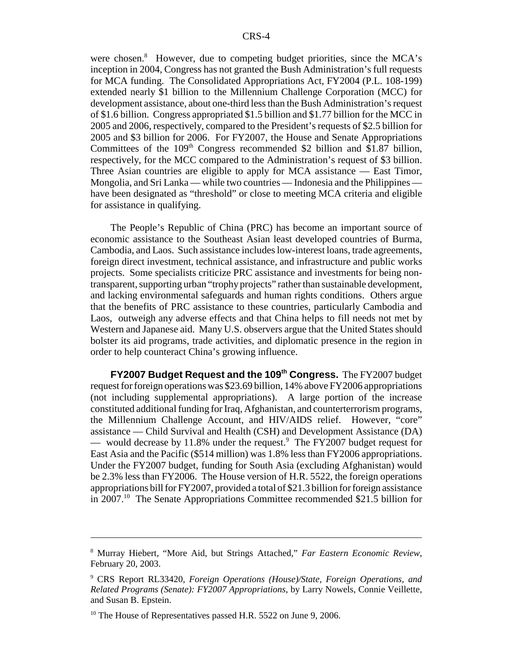were chosen.<sup>8</sup> However, due to competing budget priorities, since the MCA's inception in 2004, Congress has not granted the Bush Administration's full requests for MCA funding. The Consolidated Appropriations Act, FY2004 (P.L. 108-199) extended nearly \$1 billion to the Millennium Challenge Corporation (MCC) for development assistance, about one-third less than the Bush Administration's request of \$1.6 billion. Congress appropriated \$1.5 billion and \$1.77 billion for the MCC in 2005 and 2006, respectively, compared to the President's requests of \$2.5 billion for 2005 and \$3 billion for 2006. For FY2007, the House and Senate Appropriations Committees of the  $109<sup>th</sup>$  Congress recommended \$2 billion and \$1.87 billion, respectively, for the MCC compared to the Administration's request of \$3 billion. Three Asian countries are eligible to apply for MCA assistance — East Timor, Mongolia, and Sri Lanka — while two countries — Indonesia and the Philippines have been designated as "threshold" or close to meeting MCA criteria and eligible for assistance in qualifying.

The People's Republic of China (PRC) has become an important source of economic assistance to the Southeast Asian least developed countries of Burma, Cambodia, and Laos. Such assistance includes low-interest loans, trade agreements, foreign direct investment, technical assistance, and infrastructure and public works projects. Some specialists criticize PRC assistance and investments for being nontransparent, supporting urban "trophy projects" rather than sustainable development, and lacking environmental safeguards and human rights conditions. Others argue that the benefits of PRC assistance to these countries, particularly Cambodia and Laos, outweigh any adverse effects and that China helps to fill needs not met by Western and Japanese aid. Many U.S. observers argue that the United States should bolster its aid programs, trade activities, and diplomatic presence in the region in order to help counteract China's growing influence.

**FY2007 Budget Request and the 109th Congress.** The FY2007 budget request for foreign operations was \$23.69 billion, 14% above FY2006 appropriations (not including supplemental appropriations). A large portion of the increase constituted additional funding for Iraq, Afghanistan, and counterterrorism programs, the Millennium Challenge Account, and HIV/AIDS relief. However, "core" assistance — Child Survival and Health (CSH) and Development Assistance (DA) — would decrease by 11.8% under the request.<sup>9</sup> The FY2007 budget request for East Asia and the Pacific (\$514 million) was 1.8% less than FY2006 appropriations. Under the FY2007 budget, funding for South Asia (excluding Afghanistan) would be 2.3% less than FY2006. The House version of H.R. 5522, the foreign operations appropriations bill for FY2007, provided a total of \$21.3 billion for foreign assistance in 2007.10 The Senate Appropriations Committee recommended \$21.5 billion for

<sup>8</sup> Murray Hiebert, "More Aid, but Strings Attached," *Far Eastern Economic Review*, February 20, 2003.

<sup>9</sup> CRS Report RL33420, *Foreign Operations (House)/State, Foreign Operations, and Related Programs (Senate): FY2007 Appropriations*, by Larry Nowels, Connie Veillette, and Susan B. Epstein.

 $10$  The House of Representatives passed H.R. 5522 on June 9, 2006.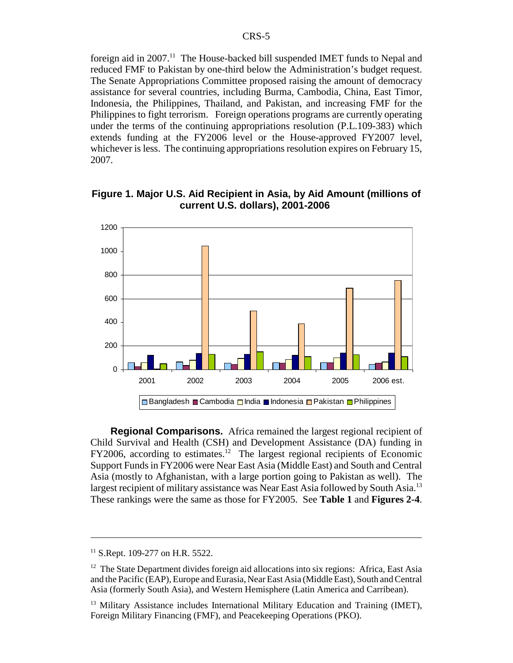foreign aid in  $2007<sup>11</sup>$ . The House-backed bill suspended IMET funds to Nepal and reduced FMF to Pakistan by one-third below the Administration's budget request. The Senate Appropriations Committee proposed raising the amount of democracy assistance for several countries, including Burma, Cambodia, China, East Timor, Indonesia, the Philippines, Thailand, and Pakistan, and increasing FMF for the Philippines to fight terrorism. Foreign operations programs are currently operating under the terms of the continuing appropriations resolution (P.L.109-383) which extends funding at the FY2006 level or the House-approved FY2007 level, whichever is less. The continuing appropriations resolution expires on February 15, 2007.



**Figure 1. Major U.S. Aid Recipient in Asia, by Aid Amount (millions of current U.S. dollars), 2001-2006** 

**Regional Comparisons.** Africa remained the largest regional recipient of Child Survival and Health (CSH) and Development Assistance (DA) funding in  $FY2006$ , according to estimates.<sup>12</sup> The largest regional recipients of Economic Support Funds in FY2006 were Near East Asia (Middle East) and South and Central Asia (mostly to Afghanistan, with a large portion going to Pakistan as well). The largest recipient of military assistance was Near East Asia followed by South Asia.<sup>13</sup> These rankings were the same as those for FY2005. See **Table 1** and **Figures 2-4**.

<sup>&</sup>lt;sup>11</sup> S.Rept. 109-277 on H.R. 5522.

 $12$  The State Department divides foreign aid allocations into six regions: Africa, East Asia and the Pacific (EAP), Europe and Eurasia, Near East Asia (Middle East), South and Central Asia (formerly South Asia), and Western Hemisphere (Latin America and Carribean).

<sup>&</sup>lt;sup>13</sup> Military Assistance includes International Military Education and Training (IMET), Foreign Military Financing (FMF), and Peacekeeping Operations (PKO).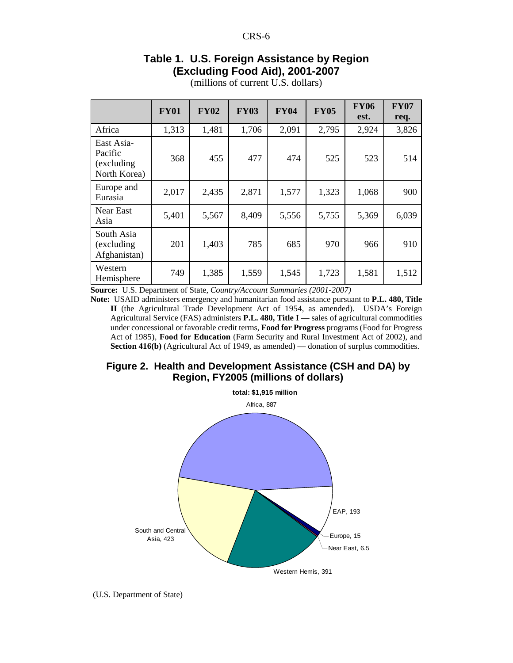# **Table 1. U.S. Foreign Assistance by Region (Excluding Food Aid), 2001-2007**

|                                                                                                       | <b>FY01</b> | <b>FY02</b> | <b>FY03</b> | <b>FY04</b> | <b>FY05</b> | <b>FY06</b><br>est. | <b>FY07</b><br>req. |
|-------------------------------------------------------------------------------------------------------|-------------|-------------|-------------|-------------|-------------|---------------------|---------------------|
| Africa                                                                                                | 1,313       | 1,481       | 1,706       | 2,091       | 2,795       | 2,924               | 3,826               |
| East Asia-<br>Pacific<br>(excluding<br>North Korea)                                                   | 368         | 455         | 477         | 474         | 525         | 523                 | 514                 |
| Europe and<br>Eurasia                                                                                 | 2,017       | 2,435       | 2,871       | 1,577       | 1,323       | 1,068               | 900                 |
| Near East<br>Asia                                                                                     | 5,401       | 5,567       | 8,409       | 5,556       | 5,755       | 5,369               | 6,039               |
| South Asia<br>(excluding<br>Afghanistan)                                                              | 201         | 1,403       | 785         | 685         | 970         | 966                 | 910                 |
| Western<br>Hemisphere<br><b>Source:</b> IIS Department of State Country/Account Summaries (2001-2007) | 749         | 1,385       | 1,559       | 1,545       | 1,723       | 1,581               | 1,512               |

(millions of current U.S. dollars)

**Source:** U.S. Department of State, *Country/Account Summaries (2001-2007)*

**Note:** USAID administers emergency and humanitarian food assistance pursuant to **P.L. 480, Title II** (the Agricultural Trade Development Act of 1954, as amended). USDA's Foreign Agricultural Service (FAS) administers **P.L. 480, Title I** — sales of agricultural commodities under concessional or favorable credit terms, **Food for Progress** programs (Food for Progress Act of 1985), **Food for Education** (Farm Security and Rural Investment Act of 2002), and **Section 416(b)** (Agricultural Act of 1949, as amended) — donation of surplus commodities.





(U.S. Department of State)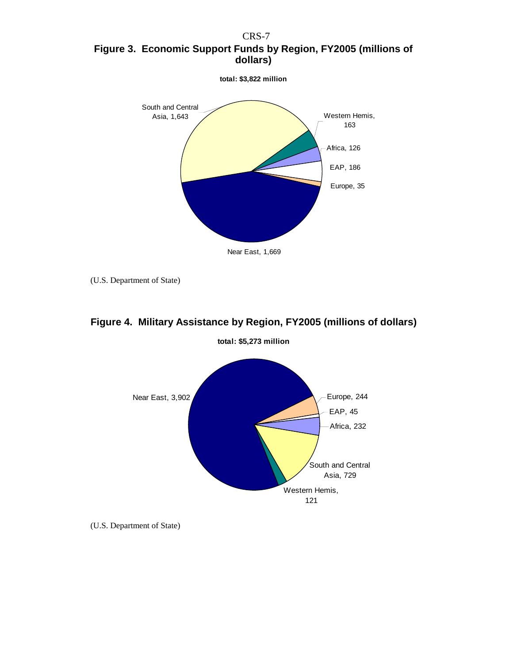CRS-7 **Figure 3. Economic Support Funds by Region, FY2005 (millions of dollars)**



(U.S. Department of State)



# **Figure 4. Military Assistance by Region, FY2005 (millions of dollars)**

(U.S. Department of State)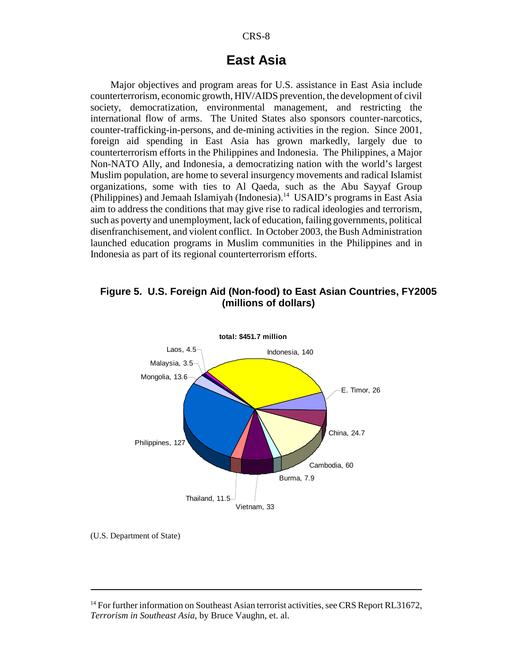# **East Asia**

Major objectives and program areas for U.S. assistance in East Asia include counterterrorism, economic growth, HIV/AIDS prevention, the development of civil society, democratization, environmental management, and restricting the international flow of arms. The United States also sponsors counter-narcotics, counter-trafficking-in-persons, and de-mining activities in the region. Since 2001, foreign aid spending in East Asia has grown markedly, largely due to counterterrorism efforts in the Philippines and Indonesia. The Philippines, a Major Non-NATO Ally, and Indonesia, a democratizing nation with the world's largest Muslim population, are home to several insurgency movements and radical Islamist organizations, some with ties to Al Qaeda, such as the Abu Sayyaf Group (Philippines) and Jemaah Islamiyah (Indonesia).<sup>14</sup> USAID's programs in East Asia aim to address the conditions that may give rise to radical ideologies and terrorism, such as poverty and unemployment, lack of education, failing governments, political disenfranchisement, and violent conflict. In October 2003, the Bush Administration launched education programs in Muslim communities in the Philippines and in Indonesia as part of its regional counterterrorism efforts.

#### **Figure 5. U.S. Foreign Aid (Non-food) to East Asian Countries, FY2005 (millions of dollars)**



(U.S. Department of State)

<sup>&</sup>lt;sup>14</sup> For further information on Southeast Asian terrorist activities, see CRS Report RL31672, *Terrorism in Southeast Asia*, by Bruce Vaughn, et. al.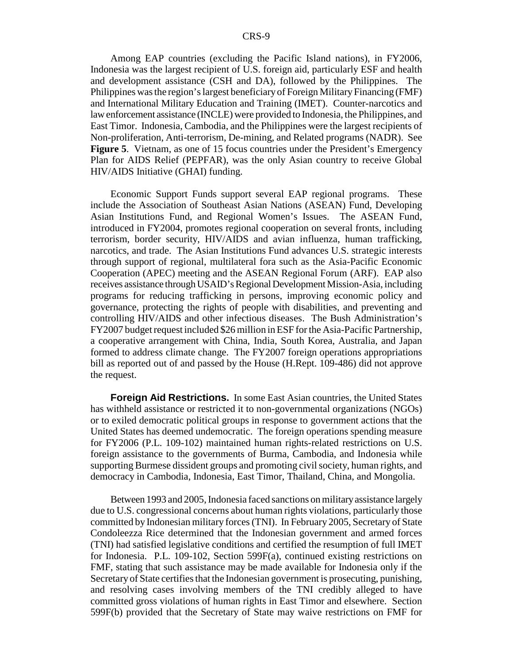Among EAP countries (excluding the Pacific Island nations), in FY2006, Indonesia was the largest recipient of U.S. foreign aid, particularly ESF and health and development assistance (CSH and DA), followed by the Philippines. The Philippines was the region's largest beneficiary of Foreign Military Financing (FMF) and International Military Education and Training (IMET). Counter-narcotics and law enforcement assistance (INCLE) were provided to Indonesia, the Philippines, and East Timor. Indonesia, Cambodia, and the Philippines were the largest recipients of Non-proliferation, Anti-terrorism, De-mining, and Related programs (NADR). See **Figure 5**. Vietnam, as one of 15 focus countries under the President's Emergency Plan for AIDS Relief (PEPFAR), was the only Asian country to receive Global HIV/AIDS Initiative (GHAI) funding.

Economic Support Funds support several EAP regional programs. These include the Association of Southeast Asian Nations (ASEAN) Fund, Developing Asian Institutions Fund, and Regional Women's Issues. The ASEAN Fund, introduced in FY2004, promotes regional cooperation on several fronts, including terrorism, border security, HIV/AIDS and avian influenza, human trafficking, narcotics, and trade. The Asian Institutions Fund advances U.S. strategic interests through support of regional, multilateral fora such as the Asia-Pacific Economic Cooperation (APEC) meeting and the ASEAN Regional Forum (ARF). EAP also receives assistance through USAID's Regional Development Mission-Asia, including programs for reducing trafficking in persons, improving economic policy and governance, protecting the rights of people with disabilities, and preventing and controlling HIV/AIDS and other infectious diseases. The Bush Administration's FY2007 budget request included \$26 million in ESF for the Asia-Pacific Partnership, a cooperative arrangement with China, India, South Korea, Australia, and Japan formed to address climate change. The FY2007 foreign operations appropriations bill as reported out of and passed by the House (H.Rept. 109-486) did not approve the request.

**Foreign Aid Restrictions.** In some East Asian countries, the United States has withheld assistance or restricted it to non-governmental organizations (NGOs) or to exiled democratic political groups in response to government actions that the United States has deemed undemocratic. The foreign operations spending measure for FY2006 (P.L. 109-102) maintained human rights-related restrictions on U.S. foreign assistance to the governments of Burma, Cambodia, and Indonesia while supporting Burmese dissident groups and promoting civil society, human rights, and democracy in Cambodia, Indonesia, East Timor, Thailand, China, and Mongolia.

Between 1993 and 2005, Indonesia faced sanctions on military assistance largely due to U.S. congressional concerns about human rights violations, particularly those committed by Indonesian military forces (TNI). In February 2005, Secretary of State Condoleezza Rice determined that the Indonesian government and armed forces (TNI) had satisfied legislative conditions and certified the resumption of full IMET for Indonesia. P.L. 109-102, Section 599F(a), continued existing restrictions on FMF, stating that such assistance may be made available for Indonesia only if the Secretary of State certifies that the Indonesian government is prosecuting, punishing, and resolving cases involving members of the TNI credibly alleged to have committed gross violations of human rights in East Timor and elsewhere. Section 599F(b) provided that the Secretary of State may waive restrictions on FMF for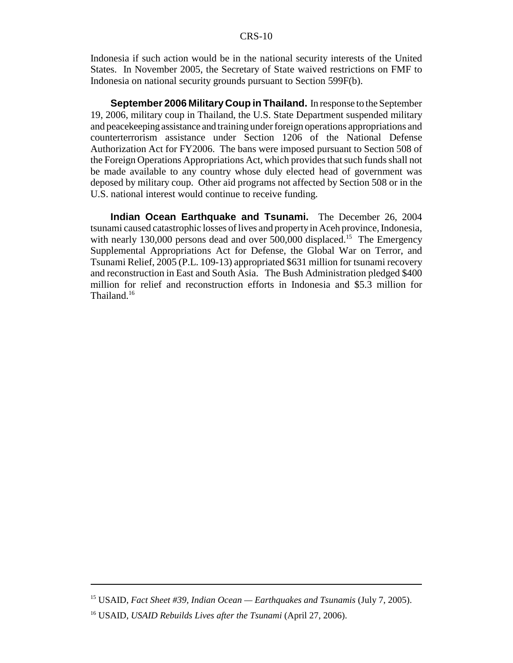Indonesia if such action would be in the national security interests of the United States. In November 2005, the Secretary of State waived restrictions on FMF to Indonesia on national security grounds pursuant to Section 599F(b).

**September 2006 Military Coup in Thailand.** In response to the September 19, 2006, military coup in Thailand, the U.S. State Department suspended military and peacekeeping assistance and training under foreign operations appropriations and counterterrorism assistance under Section 1206 of the National Defense Authorization Act for FY2006. The bans were imposed pursuant to Section 508 of the Foreign Operations Appropriations Act, which provides that such funds shall not be made available to any country whose duly elected head of government was deposed by military coup. Other aid programs not affected by Section 508 or in the U.S. national interest would continue to receive funding.

**Indian Ocean Earthquake and Tsunami.** The December 26, 2004 tsunami caused catastrophic losses of lives and property in Aceh province, Indonesia, with nearly 130,000 persons dead and over 500,000 displaced.<sup>15</sup> The Emergency Supplemental Appropriations Act for Defense, the Global War on Terror, and Tsunami Relief, 2005 (P.L. 109-13) appropriated \$631 million for tsunami recovery and reconstruction in East and South Asia. The Bush Administration pledged \$400 million for relief and reconstruction efforts in Indonesia and \$5.3 million for Thailand.<sup>16</sup>

<sup>15</sup> USAID, *Fact Sheet #39, Indian Ocean — Earthquakes and Tsunamis* (July 7, 2005).

<sup>16</sup> USAID, *USAID Rebuilds Lives after the Tsunami* (April 27, 2006).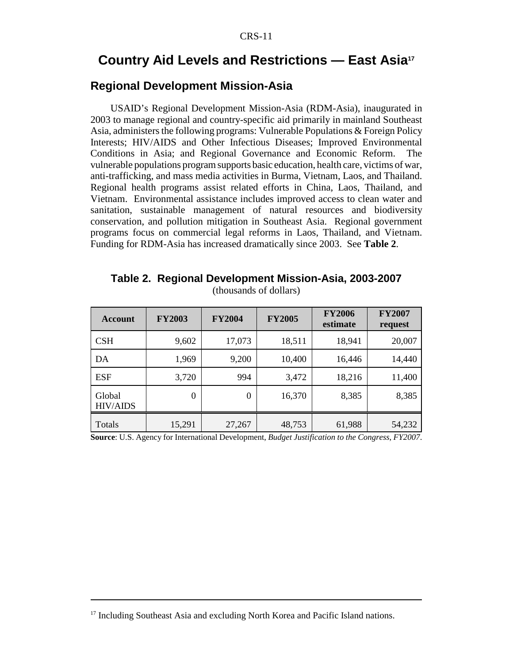# **Country Aid Levels and Restrictions — East Asia17**

# **Regional Development Mission-Asia**

USAID's Regional Development Mission-Asia (RDM-Asia), inaugurated in 2003 to manage regional and country-specific aid primarily in mainland Southeast Asia, administers the following programs: Vulnerable Populations & Foreign Policy Interests; HIV/AIDS and Other Infectious Diseases; Improved Environmental Conditions in Asia; and Regional Governance and Economic Reform. The vulnerable populations program supports basic education, health care, victims of war, anti-trafficking, and mass media activities in Burma, Vietnam, Laos, and Thailand. Regional health programs assist related efforts in China, Laos, Thailand, and Vietnam. Environmental assistance includes improved access to clean water and sanitation, sustainable management of natural resources and biodiversity conservation, and pollution mitigation in Southeast Asia. Regional government programs focus on commercial legal reforms in Laos, Thailand, and Vietnam. Funding for RDM-Asia has increased dramatically since 2003. See **Table 2**.

| <b>Account</b>            | <b>FY2003</b> | <b>FY2004</b>    | <b>FY2005</b> | <b>FY2006</b><br>estimate | <b>FY2007</b><br>request |
|---------------------------|---------------|------------------|---------------|---------------------------|--------------------------|
| <b>CSH</b>                | 9,602         | 17,073           | 18,511        | 18,941                    | 20,007                   |
| DA                        | 1,969         | 9,200            | 10,400        | 16,446                    | 14,440                   |
| <b>ESF</b>                | 3,720         | 994              | 3,472         | 18,216                    | 11,400                   |
| Global<br><b>HIV/AIDS</b> | $\theta$      | $\boldsymbol{0}$ | 16,370        | 8,385                     | 8,385                    |
| Totals                    | 15,291        | 27,267           | 48,753        | 61,988                    | 54,232                   |

**Table 2. Regional Development Mission-Asia, 2003-2007** (thousands of dollars)

**Source**: U.S. Agency for International Development, *Budget Justification to the Congress, FY2007*.

<sup>&</sup>lt;sup>17</sup> Including Southeast Asia and excluding North Korea and Pacific Island nations.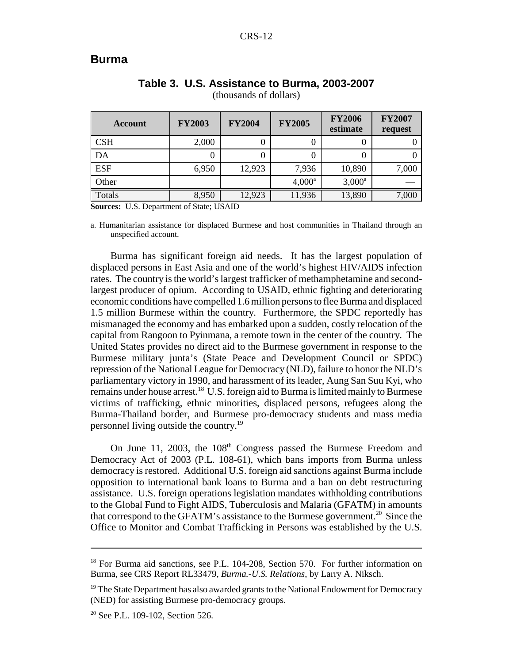#### **Burma**

| Account    | <b>FY2003</b> | <b>FY2004</b> | <b>FY2005</b>   | <b>FY2006</b><br>estimate | <b>FY2007</b><br>request |
|------------|---------------|---------------|-----------------|---------------------------|--------------------------|
| <b>CSH</b> | 2,000         |               | 0               |                           |                          |
| DA         |               |               | 0               |                           |                          |
| <b>ESF</b> | 6,950         | 12,923        | 7,936           | 10,890                    | 7,000                    |
| Other      |               |               | $4,000^{\rm a}$ | $3,000^a$                 |                          |
| Totals     | 8,950         | 12,923        | 11,936          | 13,890                    | 7,000                    |

# **Table 3. U.S. Assistance to Burma, 2003-2007**

(thousands of dollars)

**Sources:** U.S. Department of State; USAID

a. Humanitarian assistance for displaced Burmese and host communities in Thailand through an unspecified account.

Burma has significant foreign aid needs. It has the largest population of displaced persons in East Asia and one of the world's highest HIV/AIDS infection rates. The country is the world's largest trafficker of methamphetamine and secondlargest producer of opium. According to USAID, ethnic fighting and deteriorating economic conditions have compelled 1.6 million persons to flee Burma and displaced 1.5 million Burmese within the country. Furthermore, the SPDC reportedly has mismanaged the economy and has embarked upon a sudden, costly relocation of the capital from Rangoon to Pyinmana, a remote town in the center of the country. The United States provides no direct aid to the Burmese government in response to the Burmese military junta's (State Peace and Development Council or SPDC) repression of the National League for Democracy (NLD), failure to honor the NLD's parliamentary victory in 1990, and harassment of its leader, Aung San Suu Kyi, who remains under house arrest.18 U.S. foreign aid to Burma is limited mainly to Burmese victims of trafficking, ethnic minorities, displaced persons, refugees along the Burma-Thailand border, and Burmese pro-democracy students and mass media personnel living outside the country.19

On June 11, 2003, the 108<sup>th</sup> Congress passed the Burmese Freedom and Democracy Act of 2003 (P.L. 108-61), which bans imports from Burma unless democracy is restored. Additional U.S. foreign aid sanctions against Burma include opposition to international bank loans to Burma and a ban on debt restructuring assistance. U.S. foreign operations legislation mandates withholding contributions to the Global Fund to Fight AIDS, Tuberculosis and Malaria (GFATM) in amounts that correspond to the GFATM's assistance to the Burmese government.<sup>20</sup> Since the Office to Monitor and Combat Trafficking in Persons was established by the U.S.

<sup>&</sup>lt;sup>18</sup> For Burma aid sanctions, see P.L. 104-208, Section 570. For further information on Burma, see CRS Report RL33479, *Burma.-U.S. Relations*, by Larry A. Niksch.

 $19$  The State Department has also awarded grants to the National Endowment for Democracy (NED) for assisting Burmese pro-democracy groups.

<sup>&</sup>lt;sup>20</sup> See P.L. 109-102, Section 526.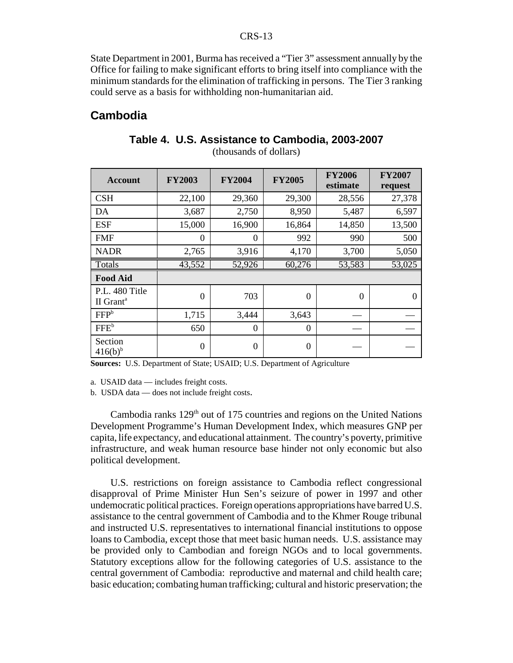State Department in 2001, Burma has received a "Tier 3" assessment annually by the Office for failing to make significant efforts to bring itself into compliance with the minimum standards for the elimination of trafficking in persons. The Tier 3 ranking could serve as a basis for withholding non-humanitarian aid.

#### **Cambodia**

| <b>Account</b>                          | <b>FY2003</b>  | <b>FY2004</b>  | <b>FY2005</b> | <b>FY2006</b><br>estimate | <b>FY2007</b><br>request |
|-----------------------------------------|----------------|----------------|---------------|---------------------------|--------------------------|
| <b>CSH</b>                              | 22,100         | 29,360         | 29,300        | 28,556                    | 27,378                   |
| DA                                      | 3,687          | 2,750          | 8,950         | 5,487                     | 6,597                    |
| <b>ESF</b>                              | 15,000         | 16,900         | 16,864        | 14,850                    | 13,500                   |
| <b>FMF</b>                              | $\Omega$       | $\Omega$       | 992           | 990                       | 500                      |
| <b>NADR</b>                             | 2,765          | 3,916          | 4,170         | 3,700                     | 5,050                    |
| Totals                                  | 43,552         | 52,926         | 60,276        | 53,583                    | 53,025                   |
| <b>Food Aid</b>                         |                |                |               |                           |                          |
| P.L. 480 Title<br>II Grant <sup>a</sup> | $\theta$       | 703            | $\theta$      | $\theta$                  | $\Omega$                 |
| FFP <sup>b</sup>                        | 1,715          | 3,444          | 3,643         |                           |                          |
| FFE <sup>b</sup>                        | 650            | $\theta$       | $\Omega$      |                           |                          |
| Section<br>$416(b)^{b}$                 | $\overline{0}$ | $\overline{0}$ | $\theta$      |                           |                          |

# **Table 4. U.S. Assistance to Cambodia, 2003-2007**

(thousands of dollars)

**Sources:** U.S. Department of State; USAID; U.S. Department of Agriculture

a. USAID data — includes freight costs.

b. USDA data — does not include freight costs.

Cambodia ranks  $129<sup>th</sup>$  out of 175 countries and regions on the United Nations Development Programme's Human Development Index, which measures GNP per capita, life expectancy, and educational attainment. The country's poverty, primitive infrastructure, and weak human resource base hinder not only economic but also political development.

U.S. restrictions on foreign assistance to Cambodia reflect congressional disapproval of Prime Minister Hun Sen's seizure of power in 1997 and other undemocratic political practices. Foreign operations appropriations have barred U.S. assistance to the central government of Cambodia and to the Khmer Rouge tribunal and instructed U.S. representatives to international financial institutions to oppose loans to Cambodia, except those that meet basic human needs. U.S. assistance may be provided only to Cambodian and foreign NGOs and to local governments. Statutory exceptions allow for the following categories of U.S. assistance to the central government of Cambodia: reproductive and maternal and child health care; basic education; combating human trafficking; cultural and historic preservation; the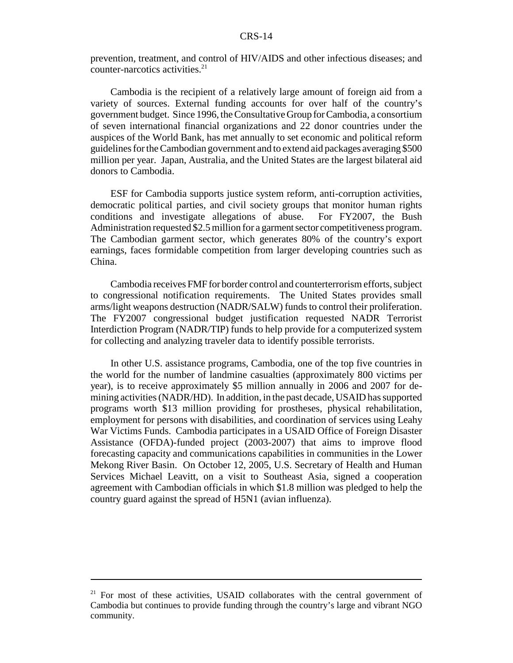prevention, treatment, and control of HIV/AIDS and other infectious diseases; and counter-narcotics activities.<sup>21</sup>

Cambodia is the recipient of a relatively large amount of foreign aid from a variety of sources. External funding accounts for over half of the country's government budget. Since 1996, the Consultative Group for Cambodia, a consortium of seven international financial organizations and 22 donor countries under the auspices of the World Bank, has met annually to set economic and political reform guidelines for the Cambodian government and to extend aid packages averaging \$500 million per year. Japan, Australia, and the United States are the largest bilateral aid donors to Cambodia.

ESF for Cambodia supports justice system reform, anti-corruption activities, democratic political parties, and civil society groups that monitor human rights conditions and investigate allegations of abuse. For FY2007, the Bush Administration requested \$2.5 million for a garment sector competitiveness program. The Cambodian garment sector, which generates 80% of the country's export earnings, faces formidable competition from larger developing countries such as China.

Cambodia receives FMF for border control and counterterrorism efforts, subject to congressional notification requirements. The United States provides small arms/light weapons destruction (NADR/SALW) funds to control their proliferation. The FY2007 congressional budget justification requested NADR Terrorist Interdiction Program (NADR/TIP) funds to help provide for a computerized system for collecting and analyzing traveler data to identify possible terrorists.

In other U.S. assistance programs, Cambodia, one of the top five countries in the world for the number of landmine casualties (approximately 800 victims per year), is to receive approximately \$5 million annually in 2006 and 2007 for demining activities (NADR/HD). In addition, in the past decade, USAID has supported programs worth \$13 million providing for prostheses, physical rehabilitation, employment for persons with disabilities, and coordination of services using Leahy War Victims Funds. Cambodia participates in a USAID Office of Foreign Disaster Assistance (OFDA)-funded project (2003-2007) that aims to improve flood forecasting capacity and communications capabilities in communities in the Lower Mekong River Basin. On October 12, 2005, U.S. Secretary of Health and Human Services Michael Leavitt, on a visit to Southeast Asia, signed a cooperation agreement with Cambodian officials in which \$1.8 million was pledged to help the country guard against the spread of H5N1 (avian influenza).

<sup>&</sup>lt;sup>21</sup> For most of these activities, USAID collaborates with the central government of Cambodia but continues to provide funding through the country's large and vibrant NGO community.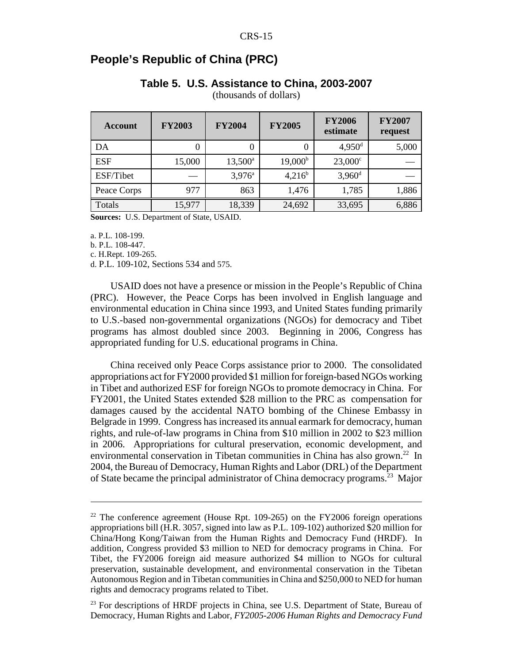# **People's Republic of China (PRC)**

#### **Table 5. U.S. Assistance to China, 2003-2007**

(thousands of dollars)

| <b>Account</b> | <b>FY2003</b> | <b>FY2004</b>    | <b>FY2005</b>    | <b>FY2006</b><br>estimate | <b>FY2007</b><br>request |
|----------------|---------------|------------------|------------------|---------------------------|--------------------------|
| DA             | 0             | 0                | 0                | $4,950$ <sup>d</sup>      | 5,000                    |
| <b>ESF</b>     | 15,000        | $13,500^{\circ}$ | $19,000^{\rm b}$ | $23,000^{\circ}$          |                          |
| ESF/Tibet      |               | $3,976^a$        | $4,216^b$        | $3,960$ <sup>d</sup>      |                          |
| Peace Corps    | 977           | 863              | 1,476            | 1,785                     | 1,886                    |
| Totals         | 15,977        | 18,339           | 24,692           | 33,695                    | 6,886                    |

**Sources:** U.S. Department of State, USAID.

a. P.L. 108-199.

b. P.L. 108-447.

c. H.Rept. 109-265.

d. P.L. 109-102, Sections 534 and 575.

USAID does not have a presence or mission in the People's Republic of China (PRC). However, the Peace Corps has been involved in English language and environmental education in China since 1993, and United States funding primarily to U.S.-based non-governmental organizations (NGOs) for democracy and Tibet programs has almost doubled since 2003. Beginning in 2006, Congress has appropriated funding for U.S. educational programs in China.

China received only Peace Corps assistance prior to 2000. The consolidated appropriations act for FY2000 provided \$1 million for foreign-based NGOs working in Tibet and authorized ESF for foreign NGOs to promote democracy in China. For FY2001, the United States extended \$28 million to the PRC as compensation for damages caused by the accidental NATO bombing of the Chinese Embassy in Belgrade in 1999. Congress has increased its annual earmark for democracy, human rights, and rule-of-law programs in China from \$10 million in 2002 to \$23 million in 2006. Appropriations for cultural preservation, economic development, and environmental conservation in Tibetan communities in China has also grown.<sup>22</sup> In 2004, the Bureau of Democracy, Human Rights and Labor (DRL) of the Department of State became the principal administrator of China democracy programs.23 Major

 $22$  The conference agreement (House Rpt. 109-265) on the FY2006 foreign operations appropriations bill (H.R. 3057, signed into law as P.L. 109-102) authorized \$20 million for China/Hong Kong/Taiwan from the Human Rights and Democracy Fund (HRDF). In addition, Congress provided \$3 million to NED for democracy programs in China. For Tibet, the FY2006 foreign aid measure authorized \$4 million to NGOs for cultural preservation, sustainable development, and environmental conservation in the Tibetan Autonomous Region and in Tibetan communities in China and \$250,000 to NED for human rights and democracy programs related to Tibet.

<sup>&</sup>lt;sup>23</sup> For descriptions of HRDF projects in China, see U.S. Department of State, Bureau of Democracy, Human Rights and Labor, *FY2005-2006 Human Rights and Democracy Fund*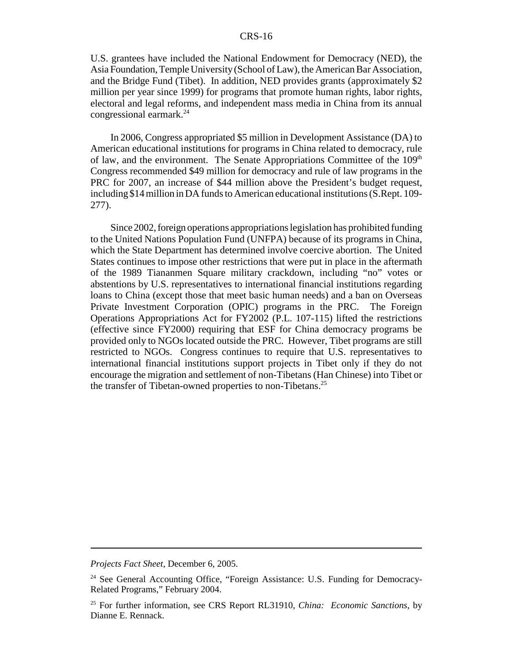U.S. grantees have included the National Endowment for Democracy (NED), the Asia Foundation, Temple University (School of Law), the American Bar Association, and the Bridge Fund (Tibet). In addition, NED provides grants (approximately \$2 million per year since 1999) for programs that promote human rights, labor rights, electoral and legal reforms, and independent mass media in China from its annual congressional earmark.24

In 2006, Congress appropriated \$5 million in Development Assistance (DA) to American educational institutions for programs in China related to democracy, rule of law, and the environment. The Senate Appropriations Committee of the 109<sup>th</sup> Congress recommended \$49 million for democracy and rule of law programs in the PRC for 2007, an increase of \$44 million above the President's budget request, including \$14 million in DA funds to American educational institutions (S.Rept. 109- 277).

Since 2002, foreign operations appropriations legislation has prohibited funding to the United Nations Population Fund (UNFPA) because of its programs in China, which the State Department has determined involve coercive abortion. The United States continues to impose other restrictions that were put in place in the aftermath of the 1989 Tiananmen Square military crackdown, including "no" votes or abstentions by U.S. representatives to international financial institutions regarding loans to China (except those that meet basic human needs) and a ban on Overseas Private Investment Corporation (OPIC) programs in the PRC. The Foreign Operations Appropriations Act for FY2002 (P.L. 107-115) lifted the restrictions (effective since FY2000) requiring that ESF for China democracy programs be provided only to NGOs located outside the PRC. However, Tibet programs are still restricted to NGOs. Congress continues to require that U.S. representatives to international financial institutions support projects in Tibet only if they do not encourage the migration and settlement of non-Tibetans (Han Chinese) into Tibet or the transfer of Tibetan-owned properties to non-Tibetans.<sup>25</sup>

*Projects Fact Sheet*, December 6, 2005.

<sup>&</sup>lt;sup>24</sup> See General Accounting Office, "Foreign Assistance: U.S. Funding for Democracy-Related Programs," February 2004.

<sup>25</sup> For further information, see CRS Report RL31910, *China: Economic Sanctions*, by Dianne E. Rennack.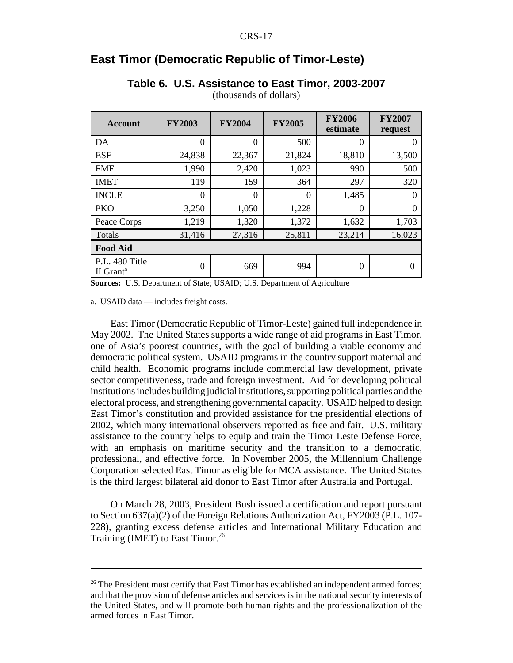# **East Timor (Democratic Republic of Timor-Leste)**

| <b>Account</b>                          | <b>FY2003</b>  | <b>FY2004</b> | <b>FY2005</b> | <b>FY2006</b><br>estimate | <b>FY2007</b><br>request |
|-----------------------------------------|----------------|---------------|---------------|---------------------------|--------------------------|
| DA                                      | $\Omega$       | $\Omega$      | 500           | 0                         |                          |
| <b>ESF</b>                              | 24,838         | 22,367        | 21,824        | 18,810                    | 13,500                   |
| <b>FMF</b>                              | 1,990          | 2,420         | 1,023         | 990                       | 500                      |
| <b>IMET</b>                             | 119            | 159           | 364           | 297                       | 320                      |
| <b>INCLE</b>                            | $\Omega$       | $\Omega$      | 0             | 1,485                     | 0                        |
| <b>PKO</b>                              | 3,250          | 1,050         | 1,228         | $\theta$                  | 0                        |
| Peace Corps                             | 1,219          | 1,320         | 1,372         | 1,632                     | 1,703                    |
| Totals                                  | 31,416         | 27,316        | 25,811        | 23,214                    | 16,023                   |
| <b>Food Aid</b>                         |                |               |               |                           |                          |
| P.L. 480 Title<br>II Grant <sup>a</sup> | $\overline{0}$ | 669           | 994           | 0                         | $\theta$                 |

#### **Table 6. U.S. Assistance to East Timor, 2003-2007**

(thousands of dollars)

**Sources:** U.S. Department of State; USAID; U.S. Department of Agriculture

a. USAID data — includes freight costs.

East Timor (Democratic Republic of Timor-Leste) gained full independence in May 2002. The United States supports a wide range of aid programs in East Timor, one of Asia's poorest countries, with the goal of building a viable economy and democratic political system. USAID programs in the country support maternal and child health. Economic programs include commercial law development, private sector competitiveness, trade and foreign investment. Aid for developing political institutions includes building judicial institutions, supporting political parties and the electoral process, and strengthening governmental capacity. USAID helped to design East Timor's constitution and provided assistance for the presidential elections of 2002, which many international observers reported as free and fair. U.S. military assistance to the country helps to equip and train the Timor Leste Defense Force, with an emphasis on maritime security and the transition to a democratic, professional, and effective force. In November 2005, the Millennium Challenge Corporation selected East Timor as eligible for MCA assistance. The United States is the third largest bilateral aid donor to East Timor after Australia and Portugal.

On March 28, 2003, President Bush issued a certification and report pursuant to Section 637(a)(2) of the Foreign Relations Authorization Act, FY2003 (P.L. 107- 228), granting excess defense articles and International Military Education and Training (IMET) to East Timor.<sup>26</sup>

<sup>&</sup>lt;sup>26</sup> The President must certify that East Timor has established an independent armed forces; and that the provision of defense articles and services is in the national security interests of the United States, and will promote both human rights and the professionalization of the armed forces in East Timor.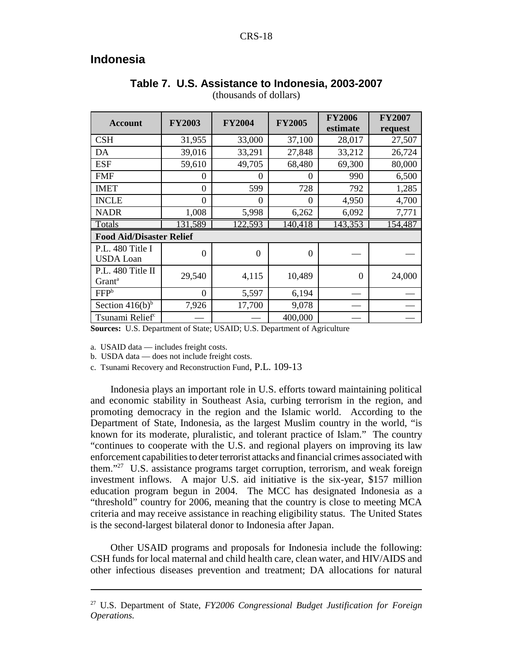# **Indonesia**

| <b>Account</b>                          | <b>FY2003</b> | <b>FY2004</b> | <b>FY2005</b> | <b>FY2006</b><br>estimate | <b>FY2007</b><br>request |
|-----------------------------------------|---------------|---------------|---------------|---------------------------|--------------------------|
| <b>CSH</b>                              | 31,955        | 33,000        | 37,100        | 28,017                    | 27,507                   |
| DA                                      | 39,016        | 33,291        | 27,848        | 33,212                    | 26,724                   |
| <b>ESF</b>                              | 59,610        | 49,705        | 68,480        | 69,300                    | 80,000                   |
| <b>FMF</b>                              | 0             | $\theta$      | $\theta$      | 990                       | 6,500                    |
| <b>IMET</b>                             | $\theta$      | 599           | 728           | 792                       | 1,285                    |
| <b>INCLE</b>                            | 0             | $\theta$      | $\theta$      | 4,950                     | 4,700                    |
| <b>NADR</b>                             | 1,008         | 5,998         | 6,262         | 6,092                     | 7,771                    |
| Totals                                  | 131,589       | 122.593       | 140,418       | 143,353                   | 154,487                  |
| <b>Food Aid/Disaster Relief</b>         |               |               |               |                           |                          |
| P.L. 480 Title I<br><b>USDA</b> Loan    | $\Omega$      | $\Omega$      | $\Omega$      |                           |                          |
| P.L. 480 Title II<br>Grant <sup>a</sup> | 29,540        | 4,115         | 10,489        | $\Omega$                  | 24,000                   |
| FFP <sup>b</sup>                        | $\theta$      | 5,597         | 6,194         |                           |                          |
| Section $416(b)^b$                      | 7,926         | 17,700        | 9,078         |                           |                          |
| Tsunami Relief <sup>c</sup>             |               |               | 400,000       |                           |                          |

# **Table 7. U.S. Assistance to Indonesia, 2003-2007**

(thousands of dollars)

**Sources:** U.S. Department of State; USAID; U.S. Department of Agriculture

a. USAID data — includes freight costs.

b. USDA data — does not include freight costs.

c. Tsunami Recovery and Reconstruction Fund, P.L. 109-13

Indonesia plays an important role in U.S. efforts toward maintaining political and economic stability in Southeast Asia, curbing terrorism in the region, and promoting democracy in the region and the Islamic world. According to the Department of State, Indonesia, as the largest Muslim country in the world, "is known for its moderate, pluralistic, and tolerant practice of Islam." The country "continues to cooperate with the U.S. and regional players on improving its law enforcement capabilities to deter terrorist attacks and financial crimes associated with them."27 U.S. assistance programs target corruption, terrorism, and weak foreign investment inflows. A major U.S. aid initiative is the six-year, \$157 million education program begun in 2004. The MCC has designated Indonesia as a "threshold" country for 2006, meaning that the country is close to meeting MCA criteria and may receive assistance in reaching eligibility status. The United States is the second-largest bilateral donor to Indonesia after Japan.

Other USAID programs and proposals for Indonesia include the following: CSH funds for local maternal and child health care, clean water, and HIV/AIDS and other infectious diseases prevention and treatment; DA allocations for natural

<sup>27</sup> U.S. Department of State, *FY2006 Congressional Budget Justification for Foreign Operations.*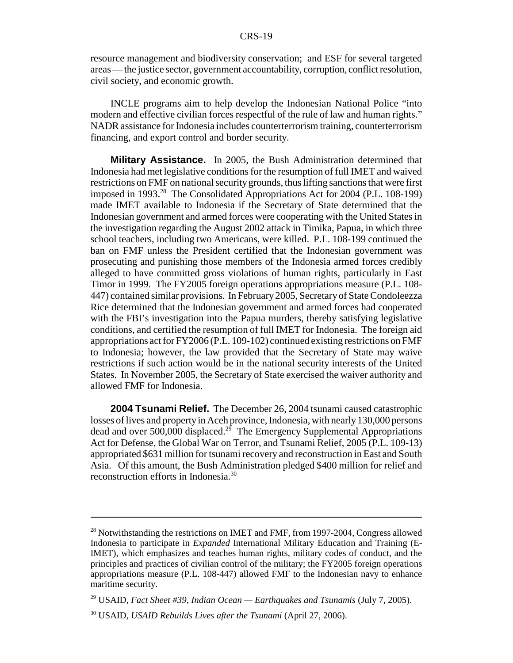resource management and biodiversity conservation; and ESF for several targeted areas — the justice sector, government accountability, corruption, conflict resolution, civil society, and economic growth.

INCLE programs aim to help develop the Indonesian National Police "into modern and effective civilian forces respectful of the rule of law and human rights." NADR assistance for Indonesia includes counterterrorism training, counterterrorism financing, and export control and border security.

**Military Assistance.** In 2005, the Bush Administration determined that Indonesia had met legislative conditions for the resumption of full IMET and waived restrictions on FMF on national security grounds, thus lifting sanctions that were first imposed in 1993.<sup>28</sup> The Consolidated Appropriations Act for 2004 (P.L. 108-199) made IMET available to Indonesia if the Secretary of State determined that the Indonesian government and armed forces were cooperating with the United States in the investigation regarding the August 2002 attack in Timika, Papua, in which three school teachers, including two Americans, were killed. P.L. 108-199 continued the ban on FMF unless the President certified that the Indonesian government was prosecuting and punishing those members of the Indonesia armed forces credibly alleged to have committed gross violations of human rights, particularly in East Timor in 1999. The FY2005 foreign operations appropriations measure (P.L. 108- 447) contained similar provisions. In February 2005, Secretary of State Condoleezza Rice determined that the Indonesian government and armed forces had cooperated with the FBI's investigation into the Papua murders, thereby satisfying legislative conditions, and certified the resumption of full IMET for Indonesia. The foreign aid appropriations act for FY2006 (P.L. 109-102) continued existing restrictions on FMF to Indonesia; however, the law provided that the Secretary of State may waive restrictions if such action would be in the national security interests of the United States. In November 2005, the Secretary of State exercised the waiver authority and allowed FMF for Indonesia.

**2004 Tsunami Relief.** The December 26, 2004 tsunami caused catastrophic losses of lives and property in Aceh province, Indonesia, with nearly 130,000 persons dead and over 500,000 displaced.<sup>29</sup> The Emergency Supplemental Appropriations Act for Defense, the Global War on Terror, and Tsunami Relief, 2005 (P.L. 109-13) appropriated \$631 million for tsunami recovery and reconstruction in East and South Asia. Of this amount, the Bush Administration pledged \$400 million for relief and reconstruction efforts in Indonesia.30

 $^{28}$  Notwithstanding the restrictions on IMET and FMF, from 1997-2004, Congress allowed Indonesia to participate in *Expanded* International Military Education and Training (E-IMET), which emphasizes and teaches human rights, military codes of conduct, and the principles and practices of civilian control of the military; the FY2005 foreign operations appropriations measure (P.L. 108-447) allowed FMF to the Indonesian navy to enhance maritime security.

<sup>29</sup> USAID, *Fact Sheet #39, Indian Ocean — Earthquakes and Tsunamis* (July 7, 2005).

<sup>30</sup> USAID, *USAID Rebuilds Lives after the Tsunami* (April 27, 2006).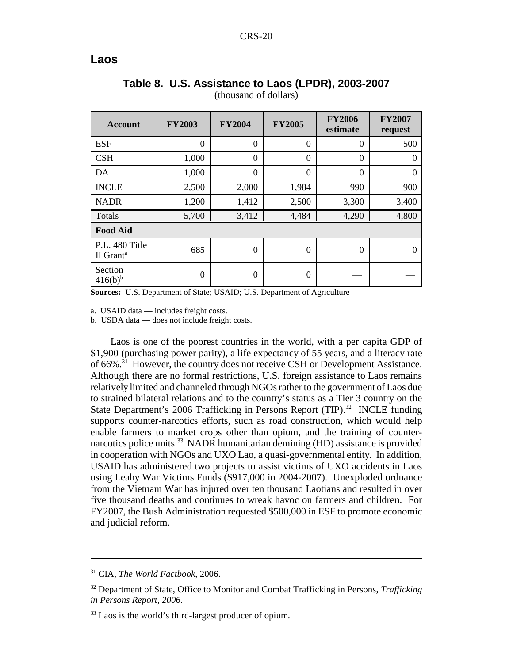#### **Laos**

| <b>Account</b>                          | <b>FY2003</b> | <b>FY2004</b> | <b>FY2005</b> | <b>FY2006</b><br>estimate | <b>FY2007</b><br>request |
|-----------------------------------------|---------------|---------------|---------------|---------------------------|--------------------------|
| <b>ESF</b>                              | $\theta$      | $\theta$      | $\theta$      | $\Omega$                  | 500                      |
| <b>CSH</b>                              | 1,000         | $\theta$      | $\Omega$      | $\Omega$                  | $\Omega$                 |
| DA                                      | 1,000         | $\Omega$      | 0             | $\theta$                  | $\Omega$                 |
| <b>INCLE</b>                            | 2,500         | 2,000         | 1,984         | 990                       | 900                      |
| <b>NADR</b>                             | 1,200         | 1,412         | 2,500         | 3,300                     | 3,400                    |
| Totals                                  | 5,700         | 3,412         | 4,484         | 4,290                     | 4,800                    |
| <b>Food Aid</b>                         |               |               |               |                           |                          |
| P.L. 480 Title<br>II Grant <sup>a</sup> | 685           | $\theta$      | 0             | $\theta$                  | 0                        |
| Section<br>$416(b)^{b}$                 | $\Omega$      | $\theta$      | 0             |                           |                          |

#### **Table 8. U.S. Assistance to Laos (LPDR), 2003-2007** (thousand of dollars)

**Sources:** U.S. Department of State; USAID; U.S. Department of Agriculture

a. USAID data — includes freight costs.

b. USDA data — does not include freight costs.

Laos is one of the poorest countries in the world, with a per capita GDP of \$1,900 (purchasing power parity), a life expectancy of 55 years, and a literacy rate of 66%.31 However, the country does not receive CSH or Development Assistance. Although there are no formal restrictions, U.S. foreign assistance to Laos remains relatively limited and channeled through NGOs rather to the government of Laos due to strained bilateral relations and to the country's status as a Tier 3 country on the State Department's 2006 Trafficking in Persons Report (TIP).<sup>32</sup> INCLE funding supports counter-narcotics efforts, such as road construction, which would help enable farmers to market crops other than opium, and the training of counternarcotics police units.<sup>33</sup> NADR humanitarian demining (HD) assistance is provided in cooperation with NGOs and UXO Lao, a quasi-governmental entity. In addition, USAID has administered two projects to assist victims of UXO accidents in Laos using Leahy War Victims Funds (\$917,000 in 2004-2007). Unexploded ordnance from the Vietnam War has injured over ten thousand Laotians and resulted in over five thousand deaths and continues to wreak havoc on farmers and children. For FY2007, the Bush Administration requested \$500,000 in ESF to promote economic and judicial reform.

<sup>31</sup> CIA, *The World Factbook*, 2006.

<sup>32</sup> Department of State, Office to Monitor and Combat Trafficking in Persons, *Trafficking in Persons Report, 2006*.

<sup>&</sup>lt;sup>33</sup> Laos is the world's third-largest producer of opium.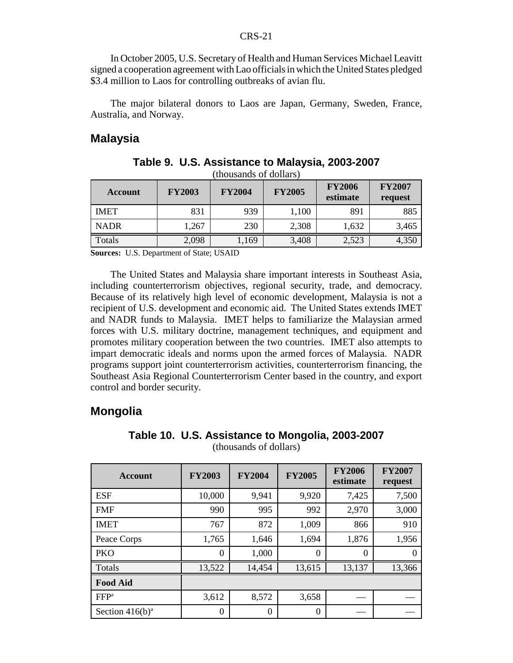In October 2005, U.S. Secretary of Health and Human Services Michael Leavitt signed a cooperation agreement with Lao officials in which the United States pledged \$3.4 million to Laos for controlling outbreaks of avian flu.

The major bilateral donors to Laos are Japan, Germany, Sweden, France, Australia, and Norway.

#### **Malaysia**

| <b>Account</b> | <b>FY2003</b> | <b>FY2004</b> | <b>FY2005</b> | <b>FY2006</b><br>estimate | <b>FY2007</b><br>request |
|----------------|---------------|---------------|---------------|---------------------------|--------------------------|
| <b>IMET</b>    | 831           | 939           | 1,100         | 891                       | 885                      |
| <b>NADR</b>    | 1,267         | 230           | 2,308         | 1,632                     | 3,465                    |
| Totals         | 2,098         | 1,169         | 3,408         | 2,523                     | 4,350                    |

**Table 9. U.S. Assistance to Malaysia, 2003-2007** (thousands of dollars)

**Sources:** U.S. Department of State; USAID

The United States and Malaysia share important interests in Southeast Asia, including counterterrorism objectives, regional security, trade, and democracy. Because of its relatively high level of economic development, Malaysia is not a recipient of U.S. development and economic aid. The United States extends IMET and NADR funds to Malaysia. IMET helps to familiarize the Malaysian armed forces with U.S. military doctrine, management techniques, and equipment and promotes military cooperation between the two countries. IMET also attempts to impart democratic ideals and norms upon the armed forces of Malaysia. NADR programs support joint counterterrorism activities, counterterrorism financing, the Southeast Asia Regional Counterterrorism Center based in the country, and export control and border security.

#### **Mongolia**

| <b>Account</b>     | <b>FY2003</b>  | <b>FY2004</b> | <b>FY2005</b> | <b>FY2006</b><br>estimate | <b>FY2007</b><br>request |
|--------------------|----------------|---------------|---------------|---------------------------|--------------------------|
| <b>ESF</b>         | 10,000         | 9,941         | 9,920         | 7,425                     | 7,500                    |
| <b>FMF</b>         | 990            | 995           | 992           | 2,970                     | 3,000                    |
| <b>IMET</b>        | 767            | 872           | 1,009         | 866                       | 910                      |
| Peace Corps        | 1,765          | 1,646         | 1,694         | 1,876                     | 1,956                    |
| <b>PKO</b>         | $\Omega$       | 1,000         | $\Omega$      | $\theta$                  |                          |
| Totals             | 13,522         | 14,454        | 13,615        | 13,137                    | 13,366                   |
| <b>Food Aid</b>    |                |               |               |                           |                          |
| FFP <sup>a</sup>   | 3,612          | 8,572         | 3,658         |                           |                          |
| Section $416(b)^a$ | $\overline{0}$ | 0             | $\theta$      |                           |                          |

#### **Table 10. U.S. Assistance to Mongolia, 2003-2007** (thousands of dollars)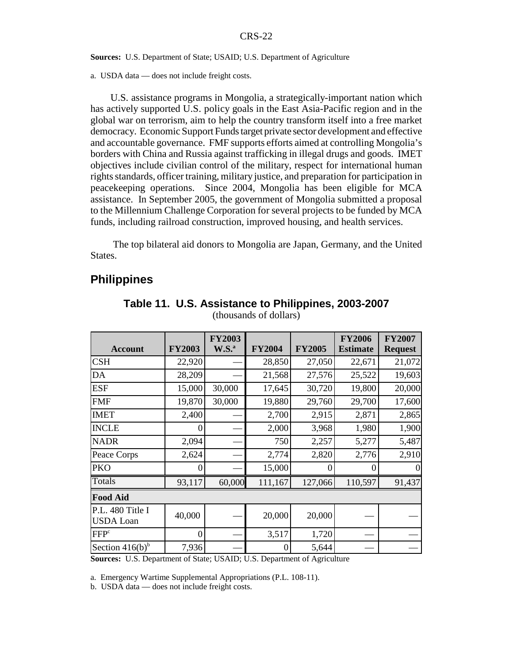#### **Sources:** U.S. Department of State; USAID; U.S. Department of Agriculture

a. USDA data — does not include freight costs.

U.S. assistance programs in Mongolia, a strategically-important nation which has actively supported U.S. policy goals in the East Asia-Pacific region and in the global war on terrorism, aim to help the country transform itself into a free market democracy. Economic Support Funds target private sector development and effective and accountable governance. FMF supports efforts aimed at controlling Mongolia's borders with China and Russia against trafficking in illegal drugs and goods. IMET objectives include civilian control of the military, respect for international human rights standards, officer training, military justice, and preparation for participation in peacekeeping operations. Since 2004, Mongolia has been eligible for MCA assistance. In September 2005, the government of Mongolia submitted a proposal to the Millennium Challenge Corporation for several projects to be funded by MCA funds, including railroad construction, improved housing, and health services.

 The top bilateral aid donors to Mongolia are Japan, Germany, and the United States.

#### **Philippines**

| <b>Account</b>                       | <b>FY2003</b> | <b>FY2003</b><br>$W.S.^a$ | <b>FY2004</b>    | <b>FY2005</b> | <b>FY2006</b><br><b>Estimate</b> | <b>FY2007</b><br><b>Request</b> |  |  |  |
|--------------------------------------|---------------|---------------------------|------------------|---------------|----------------------------------|---------------------------------|--|--|--|
| <b>CSH</b>                           | 22,920        |                           | 28,850           | 27,050        | 22,671                           | 21,072                          |  |  |  |
| DA                                   | 28,209        |                           | 21,568           | 27,576        | 25,522                           | 19,603                          |  |  |  |
| <b>ESF</b>                           | 15,000        | 30,000                    | 17,645           | 30,720        | 19,800                           | 20,000                          |  |  |  |
| <b>FMF</b>                           | 19,870        | 30,000                    | 19,880           | 29,760        | 29,700                           | 17,600                          |  |  |  |
| <b>IMET</b>                          | 2,400         |                           | 2,700            | 2,915         | 2,871                            | 2,865                           |  |  |  |
| <b>INCLE</b>                         | $\theta$      |                           | 2,000            | 3,968         | 1,980                            | 1,900                           |  |  |  |
| <b>NADR</b>                          | 2,094         |                           | 750              | 2,257         | 5,277                            | 5,487                           |  |  |  |
| Peace Corps                          | 2,624         |                           | 2,774            | 2,820         | 2,776                            | 2,910                           |  |  |  |
| <b>PKO</b>                           | $\theta$      |                           | 15,000           | $\left($      | $\overline{0}$                   | $\mathbf{0}$                    |  |  |  |
| <b>Totals</b>                        | 93,117        | 60,000                    | 111,167          | 127,066       | 110,597                          | 91,437                          |  |  |  |
| <b>Food Aid</b>                      |               |                           |                  |               |                                  |                                 |  |  |  |
| P.L. 480 Title I<br><b>USDA</b> Loan | 40,000        |                           | 20,000           | 20,000        |                                  |                                 |  |  |  |
| FFP <sup>c</sup>                     | $\Omega$      |                           | 3,517            | 1,720         |                                  |                                 |  |  |  |
| Section $416(b)^b$                   | 7,936         |                           | $\boldsymbol{0}$ | 5,644         |                                  |                                 |  |  |  |

#### **Table 11. U.S. Assistance to Philippines, 2003-2007** (thousands of dollars)

**Sources:** U.S. Department of State; USAID; U.S. Department of Agriculture

a. Emergency Wartime Supplemental Appropriations (P.L. 108-11).

b. USDA data — does not include freight costs.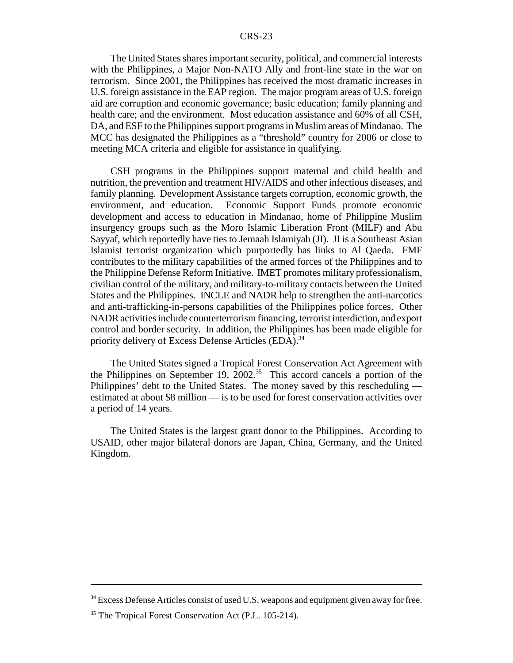The United States shares important security, political, and commercial interests with the Philippines, a Major Non-NATO Ally and front-line state in the war on terrorism. Since 2001, the Philippines has received the most dramatic increases in U.S. foreign assistance in the EAP region. The major program areas of U.S. foreign aid are corruption and economic governance; basic education; family planning and health care; and the environment. Most education assistance and 60% of all CSH, DA, and ESF to the Philippines support programs in Muslim areas of Mindanao. The MCC has designated the Philippines as a "threshold" country for 2006 or close to meeting MCA criteria and eligible for assistance in qualifying.

CSH programs in the Philippines support maternal and child health and nutrition, the prevention and treatment HIV/AIDS and other infectious diseases, and family planning. Development Assistance targets corruption, economic growth, the environment, and education. Economic Support Funds promote economic development and access to education in Mindanao, home of Philippine Muslim insurgency groups such as the Moro Islamic Liberation Front (MILF) and Abu Sayyaf, which reportedly have ties to Jemaah Islamiyah (JI). JI is a Southeast Asian Islamist terrorist organization which purportedly has links to Al Qaeda. FMF contributes to the military capabilities of the armed forces of the Philippines and to the Philippine Defense Reform Initiative. IMET promotes military professionalism, civilian control of the military, and military-to-military contacts between the United States and the Philippines. INCLE and NADR help to strengthen the anti-narcotics and anti-trafficking-in-persons capabilities of the Philippines police forces. Other NADR activities include counterterrorism financing, terrorist interdiction, and export control and border security. In addition, the Philippines has been made eligible for priority delivery of Excess Defense Articles (EDA).<sup>34</sup>

The United States signed a Tropical Forest Conservation Act Agreement with the Philippines on September 19, 2002.<sup>35</sup> This accord cancels a portion of the Philippines' debt to the United States. The money saved by this rescheduling estimated at about \$8 million — is to be used for forest conservation activities over a period of 14 years.

The United States is the largest grant donor to the Philippines. According to USAID, other major bilateral donors are Japan, China, Germany, and the United Kingdom.

<sup>&</sup>lt;sup>34</sup> Excess Defense Articles consist of used U.S. weapons and equipment given away for free.

<sup>&</sup>lt;sup>35</sup> The Tropical Forest Conservation Act (P.L. 105-214).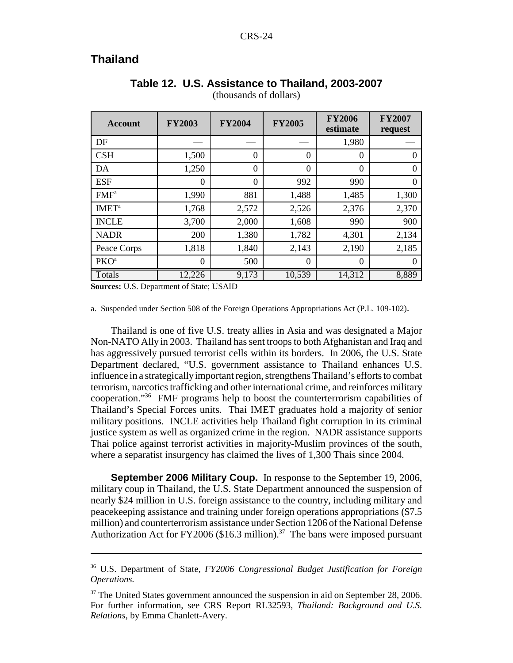# **Thailand**

| <b>Account</b>           | <b>FY2003</b> | <b>FY2004</b>  | <b>FY2005</b> | <b>FY2006</b><br>estimate | <b>FY2007</b><br>request |
|--------------------------|---------------|----------------|---------------|---------------------------|--------------------------|
| DF                       |               |                |               | 1,980                     |                          |
| CSH                      | 1,500         | $\theta$       | $\theta$      | $\theta$                  | $\theta$                 |
| DA                       | 1,250         | $\theta$       | $\theta$      | $\theta$                  | $\overline{0}$           |
| <b>ESF</b>               | $\Omega$      | $\overline{0}$ | 992           | 990                       | $\theta$                 |
| FMF <sup>a</sup>         | 1,990         | 881            | 1,488         | 1,485                     | 1,300                    |
| <b>IMET</b> <sup>a</sup> | 1,768         | 2,572          | 2,526         | 2,376                     | 2,370                    |
| <b>INCLE</b>             | 3,700         | 2,000          | 1,608         | 990                       | 900                      |
| <b>NADR</b>              | 200           | 1,380          | 1,782         | 4,301                     | 2,134                    |
| Peace Corps              | 1,818         | 1,840          | 2,143         | 2,190                     | 2,185                    |
| PKO <sup>a</sup>         | $\Omega$      | 500            | $\theta$      | $\Omega$                  | $\left($                 |
| Totals                   | 12,226        | 9,173          | 10,539        | 14,312                    | 8,889                    |

#### **Table 12. U.S. Assistance to Thailand, 2003-2007** (thousands of dollars)

**Sources:** U.S. Department of State; USAID

a. Suspended under Section 508 of the Foreign Operations Appropriations Act (P.L. 109-102).

Thailand is one of five U.S. treaty allies in Asia and was designated a Major Non-NATO Ally in 2003. Thailand has sent troops to both Afghanistan and Iraq and has aggressively pursued terrorist cells within its borders. In 2006, the U.S. State Department declared, "U.S. government assistance to Thailand enhances U.S. influence in a strategically important region, strengthens Thailand's efforts to combat terrorism, narcotics trafficking and other international crime, and reinforces military cooperation."36 FMF programs help to boost the counterterrorism capabilities of Thailand's Special Forces units. Thai IMET graduates hold a majority of senior military positions. INCLE activities help Thailand fight corruption in its criminal justice system as well as organized crime in the region. NADR assistance supports Thai police against terrorist activities in majority-Muslim provinces of the south, where a separatist insurgency has claimed the lives of 1,300 Thais since 2004.

**September 2006 Military Coup.** In response to the September 19, 2006, military coup in Thailand, the U.S. State Department announced the suspension of nearly \$24 million in U.S. foreign assistance to the country, including military and peacekeeping assistance and training under foreign operations appropriations (\$7.5 million) and counterterrorism assistance under Section 1206 of the National Defense Authorization Act for FY2006 (\$16.3 million).<sup>37</sup> The bans were imposed pursuant

<sup>36</sup> U.S. Department of State, *FY2006 Congressional Budget Justification for Foreign Operations.*

 $37$  The United States government announced the suspension in aid on September 28, 2006. For further information, see CRS Report RL32593, *Thailand: Background and U.S. Relations*, by Emma Chanlett-Avery.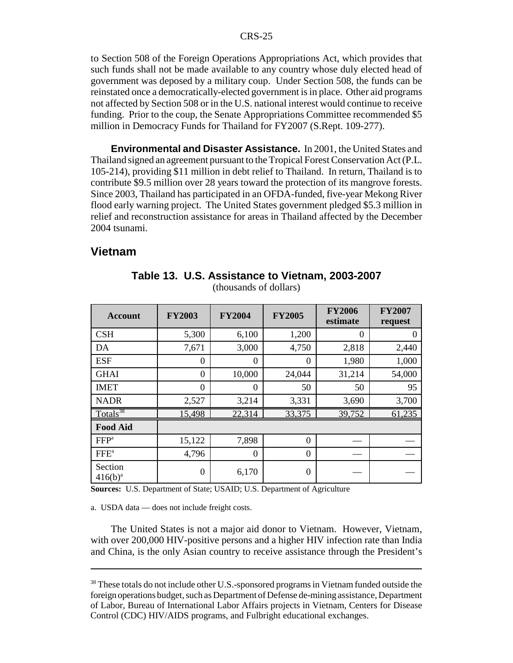to Section 508 of the Foreign Operations Appropriations Act, which provides that such funds shall not be made available to any country whose duly elected head of government was deposed by a military coup. Under Section 508, the funds can be reinstated once a democratically-elected government is in place. Other aid programs not affected by Section 508 or in the U.S. national interest would continue to receive funding. Prior to the coup, the Senate Appropriations Committee recommended \$5 million in Democracy Funds for Thailand for FY2007 (S.Rept. 109-277).

**Environmental and Disaster Assistance.** In 2001, the United States and Thailand signed an agreement pursuant to the Tropical Forest Conservation Act (P.L. 105-214), providing \$11 million in debt relief to Thailand. In return, Thailand is to contribute \$9.5 million over 28 years toward the protection of its mangrove forests. Since 2003, Thailand has participated in an OFDA-funded, five-year Mekong River flood early warning project. The United States government pledged \$5.3 million in relief and reconstruction assistance for areas in Thailand affected by the December 2004 tsunami.

#### **Vietnam**

| <b>Account</b>          | <b>FY2003</b>  | <b>FY2004</b>    | <b>FY2005</b> | <b>FY2006</b><br>estimate | <b>FY2007</b><br>request |
|-------------------------|----------------|------------------|---------------|---------------------------|--------------------------|
| <b>CSH</b>              | 5,300          | 6,100            | 1,200         | $\theta$                  | 0                        |
| DA                      | 7,671          | 3,000            | 4,750         | 2,818                     | 2,440                    |
| <b>ESF</b>              | 0              | $\theta$         | 0             | 1,980                     | 1,000                    |
| <b>GHAI</b>             | $\overline{0}$ | 10,000           | 24,044        | 31,214                    | 54,000                   |
| <b>IMET</b>             | $\Omega$       | $\theta$         | 50            | 50                        | 95                       |
| <b>NADR</b>             | 2,527          | 3,214            | 3,331         | 3,690                     | 3,700                    |
| Totals <sup>38</sup>    | 15,498         | 22,314           | 33,375        | 39,752                    | 61,235                   |
| <b>Food Aid</b>         |                |                  |               |                           |                          |
| FFP <sup>a</sup>        | 15,122         | 7,898            | 0             |                           |                          |
| FFE <sup>a</sup>        | 4,796          | $\boldsymbol{0}$ | $\theta$      |                           |                          |
| Section<br>$416(b)^{a}$ | $\overline{0}$ | 6,170            | $\theta$      |                           |                          |

**Table 13. U.S. Assistance to Vietnam, 2003-2007** (thousands of dollars)

**Sources:** U.S. Department of State; USAID; U.S. Department of Agriculture

a. USDA data — does not include freight costs.

The United States is not a major aid donor to Vietnam. However, Vietnam, with over 200,000 HIV-positive persons and a higher HIV infection rate than India and China, is the only Asian country to receive assistance through the President's

<sup>38</sup> These totals do not include other U.S.-sponsored programs in Vietnam funded outside the foreign operations budget, such as Department of Defense de-mining assistance, Department of Labor, Bureau of International Labor Affairs projects in Vietnam, Centers for Disease Control (CDC) HIV/AIDS programs, and Fulbright educational exchanges.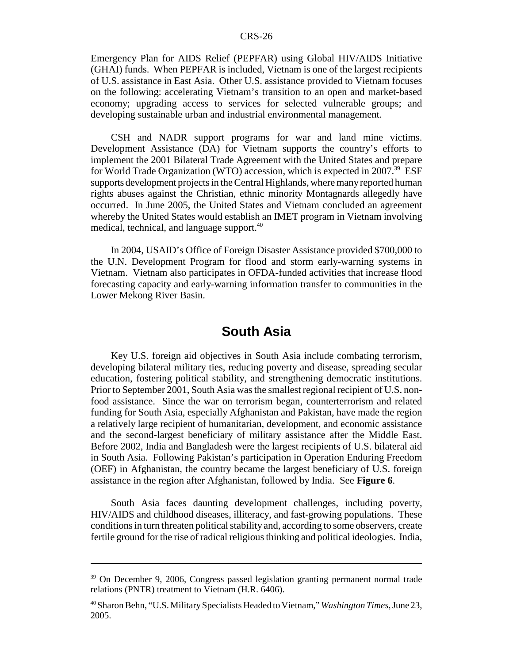Emergency Plan for AIDS Relief (PEPFAR) using Global HIV/AIDS Initiative (GHAI) funds. When PEPFAR is included, Vietnam is one of the largest recipients of U.S. assistance in East Asia. Other U.S. assistance provided to Vietnam focuses on the following: accelerating Vietnam's transition to an open and market-based economy; upgrading access to services for selected vulnerable groups; and developing sustainable urban and industrial environmental management.

CSH and NADR support programs for war and land mine victims. Development Assistance (DA) for Vietnam supports the country's efforts to implement the 2001 Bilateral Trade Agreement with the United States and prepare for World Trade Organization (WTO) accession, which is expected in  $2007<sup>39</sup>$  ESF supports development projects in the Central Highlands, where many reported human rights abuses against the Christian, ethnic minority Montagnards allegedly have occurred. In June 2005, the United States and Vietnam concluded an agreement whereby the United States would establish an IMET program in Vietnam involving medical, technical, and language support.<sup>40</sup>

In 2004, USAID's Office of Foreign Disaster Assistance provided \$700,000 to the U.N. Development Program for flood and storm early-warning systems in Vietnam. Vietnam also participates in OFDA-funded activities that increase flood forecasting capacity and early-warning information transfer to communities in the Lower Mekong River Basin.

# **South Asia**

Key U.S. foreign aid objectives in South Asia include combating terrorism, developing bilateral military ties, reducing poverty and disease, spreading secular education, fostering political stability, and strengthening democratic institutions. Prior to September 2001, South Asia was the smallest regional recipient of U.S. nonfood assistance. Since the war on terrorism began, counterterrorism and related funding for South Asia, especially Afghanistan and Pakistan, have made the region a relatively large recipient of humanitarian, development, and economic assistance and the second-largest beneficiary of military assistance after the Middle East. Before 2002, India and Bangladesh were the largest recipients of U.S. bilateral aid in South Asia. Following Pakistan's participation in Operation Enduring Freedom (OEF) in Afghanistan, the country became the largest beneficiary of U.S. foreign assistance in the region after Afghanistan, followed by India. See **Figure 6**.

South Asia faces daunting development challenges, including poverty, HIV/AIDS and childhood diseases, illiteracy, and fast-growing populations. These conditions in turn threaten political stability and, according to some observers, create fertile ground for the rise of radical religious thinking and political ideologies. India,

<sup>39</sup> On December 9, 2006, Congress passed legislation granting permanent normal trade relations (PNTR) treatment to Vietnam (H.R. 6406).

<sup>40</sup> Sharon Behn, "U.S. Military Specialists Headed to Vietnam," *Washington Times*, June 23, 2005.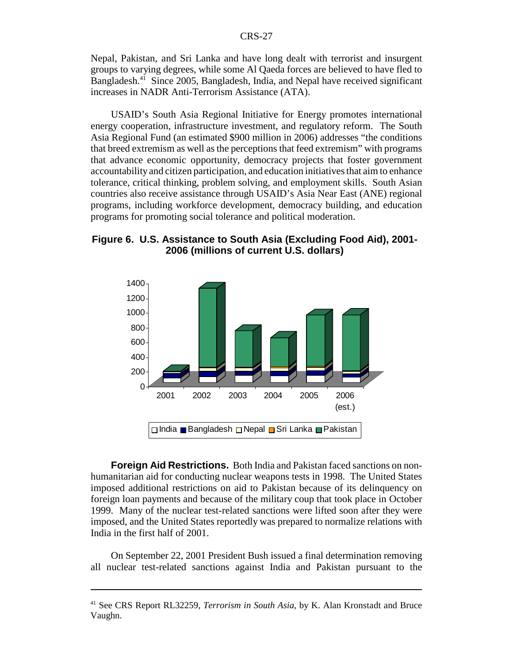Nepal, Pakistan, and Sri Lanka and have long dealt with terrorist and insurgent groups to varying degrees, while some Al Qaeda forces are believed to have fled to Bangladesh.<sup>41</sup> Since 2005, Bangladesh, India, and Nepal have received significant increases in NADR Anti-Terrorism Assistance (ATA).

USAID's South Asia Regional Initiative for Energy promotes international energy cooperation, infrastructure investment, and regulatory reform. The South Asia Regional Fund (an estimated \$900 million in 2006) addresses "the conditions that breed extremism as well as the perceptions that feed extremism" with programs that advance economic opportunity, democracy projects that foster government accountability and citizen participation, and education initiatives that aim to enhance tolerance, critical thinking, problem solving, and employment skills. South Asian countries also receive assistance through USAID's Asia Near East (ANE) regional programs, including workforce development, democracy building, and education programs for promoting social tolerance and political moderation.

**Figure 6. U.S. Assistance to South Asia (Excluding Food Aid), 2001- 2006 (millions of current U.S. dollars)**



**Foreign Aid Restrictions.** Both India and Pakistan faced sanctions on nonhumanitarian aid for conducting nuclear weapons tests in 1998. The United States imposed additional restrictions on aid to Pakistan because of its delinquency on foreign loan payments and because of the military coup that took place in October 1999. Many of the nuclear test-related sanctions were lifted soon after they were imposed, and the United States reportedly was prepared to normalize relations with India in the first half of 2001.

On September 22, 2001 President Bush issued a final determination removing all nuclear test-related sanctions against India and Pakistan pursuant to the

<sup>41</sup> See CRS Report RL32259, *Terrorism in South Asia*, by K. Alan Kronstadt and Bruce Vaughn.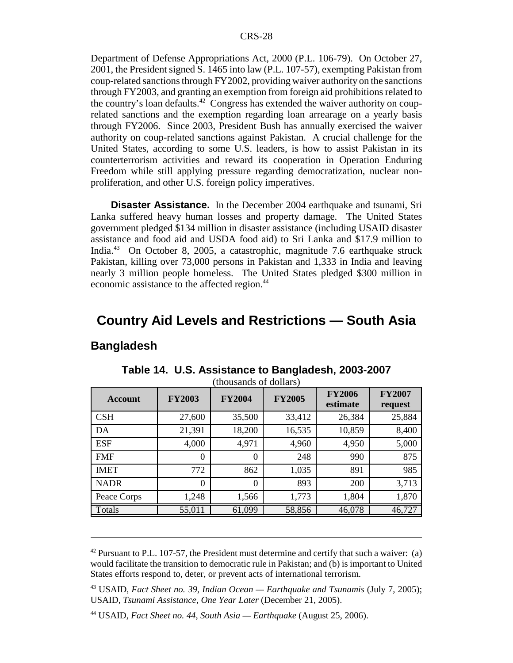Department of Defense Appropriations Act, 2000 (P.L. 106-79). On October 27, 2001, the President signed S. 1465 into law (P.L. 107-57), exempting Pakistan from coup-related sanctions through FY2002, providing waiver authority on the sanctions through FY2003, and granting an exemption from foreign aid prohibitions related to the country's loan defaults.<sup>42</sup> Congress has extended the waiver authority on couprelated sanctions and the exemption regarding loan arrearage on a yearly basis through FY2006. Since 2003, President Bush has annually exercised the waiver authority on coup-related sanctions against Pakistan. A crucial challenge for the United States, according to some U.S. leaders, is how to assist Pakistan in its counterterrorism activities and reward its cooperation in Operation Enduring Freedom while still applying pressure regarding democratization, nuclear nonproliferation, and other U.S. foreign policy imperatives.

**Disaster Assistance.** In the December 2004 earthquake and tsunami, Sri Lanka suffered heavy human losses and property damage. The United States government pledged \$134 million in disaster assistance (including USAID disaster assistance and food aid and USDA food aid) to Sri Lanka and \$17.9 million to India.43 On October 8, 2005, a catastrophic, magnitude 7.6 earthquake struck Pakistan, killing over 73,000 persons in Pakistan and 1,333 in India and leaving nearly 3 million people homeless. The United States pledged \$300 million in economic assistance to the affected region.<sup>44</sup>

# **Country Aid Levels and Restrictions — South Asia**

#### **Bangladesh**

| <b>Account</b> | <b>FY2003</b> | <b>FY2004</b><br><b>FY2005</b> |        | <b>FY2006</b><br>estimate | <b>FY2007</b><br>request |
|----------------|---------------|--------------------------------|--------|---------------------------|--------------------------|
| <b>CSH</b>     | 27,600        | 35,500                         | 33,412 | 26,384                    | 25,884                   |
| DA             | 21,391        | 18,200                         | 16,535 | 10,859                    | 8,400                    |
| <b>ESF</b>     | 4,000         | 4,971                          | 4,960  | 4,950                     | 5,000                    |
| <b>FMF</b>     | $\Omega$      | $\Omega$                       | 248    | 990                       | 875                      |
| <b>IMET</b>    | 772           | 862                            | 1,035  | 891                       | 985                      |
| <b>NADR</b>    | $\Omega$      | $\Omega$                       | 893    | 200                       | 3,713                    |
| Peace Corps    | 1,248         | 1,566                          | 1,773  | 1,804                     | 1,870                    |
| Totals         | 55,011        | 61,099                         | 58,856 | 46,078                    | 46,727                   |

**Table 14. U.S. Assistance to Bangladesh, 2003-2007**  $(houcends of dollar)$ 

 $42$  Pursuant to P.L. 107-57, the President must determine and certify that such a waiver: (a) would facilitate the transition to democratic rule in Pakistan; and (b) is important to United States efforts respond to, deter, or prevent acts of international terrorism.

<sup>43</sup> USAID, *Fact Sheet no. 39, Indian Ocean — Earthquake and Tsunamis* (July 7, 2005); USAID, *Tsunami Assistance, One Year Later* (December 21, 2005).

<sup>44</sup> USAID, *Fact Sheet no. 44, South Asia — Earthquake* (August 25, 2006).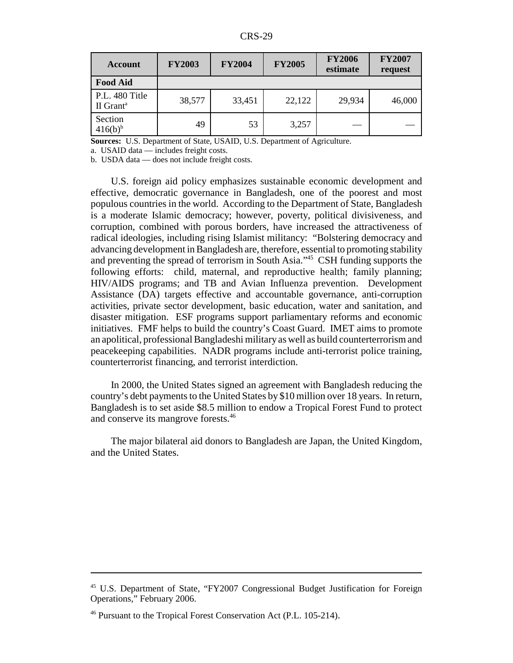CRS-29

| <b>Account</b>                          | <b>FY2003</b> | <b>FY2004</b> | <b>FY2005</b> | <b>FY2006</b><br>estimate | <b>FY2007</b><br>request |
|-----------------------------------------|---------------|---------------|---------------|---------------------------|--------------------------|
| <b>Food Aid</b>                         |               |               |               |                           |                          |
| P.L. 480 Title<br>II Grant <sup>a</sup> | 38,577        | 33,451        | 22,122        | 29,934                    | 46,000                   |
| Section<br>$416(b)^{b}$                 | 49            | 53            | 3,257         |                           |                          |

**Sources:** U.S. Department of State, USAID, U.S. Department of Agriculture.

a. USAID data — includes freight costs.

b. USDA data — does not include freight costs.

U.S. foreign aid policy emphasizes sustainable economic development and effective, democratic governance in Bangladesh, one of the poorest and most populous countries in the world. According to the Department of State, Bangladesh is a moderate Islamic democracy; however, poverty, political divisiveness, and corruption, combined with porous borders, have increased the attractiveness of radical ideologies, including rising Islamist militancy: "Bolstering democracy and advancing development in Bangladesh are, therefore, essential to promoting stability and preventing the spread of terrorism in South Asia."45 CSH funding supports the following efforts: child, maternal, and reproductive health; family planning; HIV/AIDS programs; and TB and Avian Influenza prevention. Development Assistance (DA) targets effective and accountable governance, anti-corruption activities, private sector development, basic education, water and sanitation, and disaster mitigation. ESF programs support parliamentary reforms and economic initiatives. FMF helps to build the country's Coast Guard. IMET aims to promote an apolitical, professional Bangladeshi military as well as build counterterrorism and peacekeeping capabilities. NADR programs include anti-terrorist police training, counterterrorist financing, and terrorist interdiction.

In 2000, the United States signed an agreement with Bangladesh reducing the country's debt payments to the United States by \$10 million over 18 years. In return, Bangladesh is to set aside \$8.5 million to endow a Tropical Forest Fund to protect and conserve its mangrove forests.<sup>46</sup>

The major bilateral aid donors to Bangladesh are Japan, the United Kingdom, and the United States.

<sup>45</sup> U.S. Department of State, "FY2007 Congressional Budget Justification for Foreign Operations," February 2006.

<sup>46</sup> Pursuant to the Tropical Forest Conservation Act (P.L. 105-214).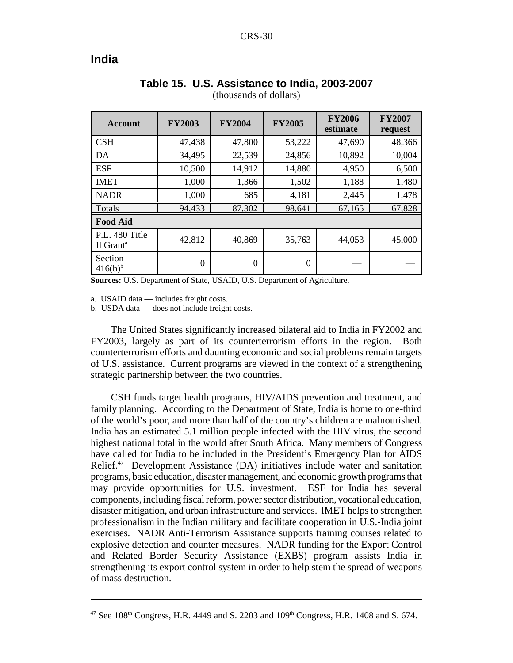### **India**

| <b>Account</b>                          | <b>FY2003</b> | <b>FY2004</b> | <b>FY2005</b> |        | <b>FY2007</b><br>request |  |  |  |  |
|-----------------------------------------|---------------|---------------|---------------|--------|--------------------------|--|--|--|--|
| <b>CSH</b>                              | 47,438        | 47,800        | 53,222        | 47,690 | 48,366                   |  |  |  |  |
| DA                                      | 34,495        | 22,539        | 24,856        | 10,892 | 10,004                   |  |  |  |  |
| <b>ESF</b>                              | 10,500        | 14,912        | 14,880        | 4,950  | 6,500                    |  |  |  |  |
| <b>IMET</b>                             | 1,000         | 1,366         | 1,502         | 1,188  | 1,480                    |  |  |  |  |
| <b>NADR</b>                             | 1,000         | 685           | 4,181         | 2,445  | 1,478                    |  |  |  |  |
| Totals                                  | 94,433        | 87,302        | 98,641        | 67,165 | 67,828                   |  |  |  |  |
| <b>Food Aid</b>                         |               |               |               |        |                          |  |  |  |  |
| P.L. 480 Title<br>II Grant <sup>a</sup> | 42,812        | 40,869        | 35,763        | 44,053 | 45,000                   |  |  |  |  |
| Section<br>$416(b)^{b}$                 | $\theta$      | $\Omega$      | $\Omega$      |        |                          |  |  |  |  |

#### **Table 15. U.S. Assistance to India, 2003-2007** (thousands of dollars)

**Sources:** U.S. Department of State, USAID, U.S. Department of Agriculture.

a. USAID data — includes freight costs.

b. USDA data — does not include freight costs.

The United States significantly increased bilateral aid to India in FY2002 and FY2003, largely as part of its counterterrorism efforts in the region. Both counterterrorism efforts and daunting economic and social problems remain targets of U.S. assistance. Current programs are viewed in the context of a strengthening strategic partnership between the two countries.

CSH funds target health programs, HIV/AIDS prevention and treatment, and family planning. According to the Department of State, India is home to one-third of the world's poor, and more than half of the country's children are malnourished. India has an estimated 5.1 million people infected with the HIV virus, the second highest national total in the world after South Africa. Many members of Congress have called for India to be included in the President's Emergency Plan for AIDS Relief. $47$  Development Assistance (DA) initiatives include water and sanitation programs, basic education, disaster management, and economic growth programs that may provide opportunities for U.S. investment. ESF for India has several components, including fiscal reform, power sector distribution, vocational education, disaster mitigation, and urban infrastructure and services. IMET helps to strengthen professionalism in the Indian military and facilitate cooperation in U.S.-India joint exercises. NADR Anti-Terrorism Assistance supports training courses related to explosive detection and counter measures. NADR funding for the Export Control and Related Border Security Assistance (EXBS) program assists India in strengthening its export control system in order to help stem the spread of weapons of mass destruction.

 $47$  See 108<sup>th</sup> Congress, H.R. 4449 and S. 2203 and  $109<sup>th</sup>$  Congress, H.R. 1408 and S. 674.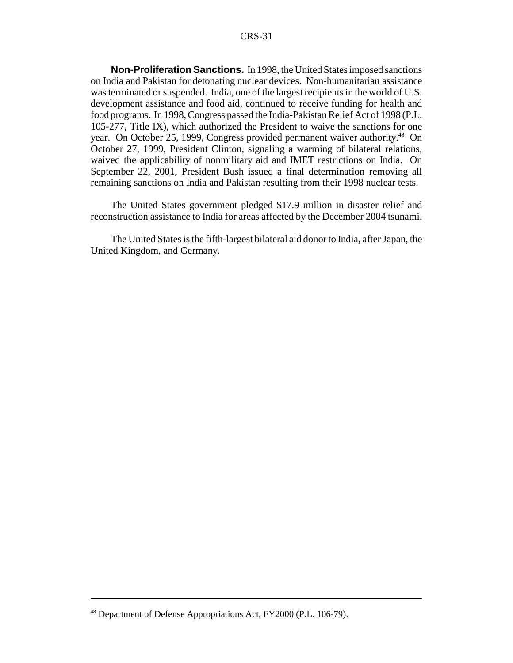**Non-Proliferation Sanctions.** In 1998, the United States imposed sanctions on India and Pakistan for detonating nuclear devices. Non-humanitarian assistance was terminated or suspended. India, one of the largest recipients in the world of U.S. development assistance and food aid, continued to receive funding for health and food programs. In 1998, Congress passed the India-Pakistan Relief Act of 1998 (P.L. 105-277, Title IX), which authorized the President to waive the sanctions for one year. On October 25, 1999, Congress provided permanent waiver authority.<sup>48</sup> On October 27, 1999, President Clinton, signaling a warming of bilateral relations, waived the applicability of nonmilitary aid and IMET restrictions on India. On September 22, 2001, President Bush issued a final determination removing all remaining sanctions on India and Pakistan resulting from their 1998 nuclear tests.

The United States government pledged \$17.9 million in disaster relief and reconstruction assistance to India for areas affected by the December 2004 tsunami.

The United States is the fifth-largest bilateral aid donor to India, after Japan, the United Kingdom, and Germany.

<sup>48</sup> Department of Defense Appropriations Act, FY2000 (P.L. 106-79).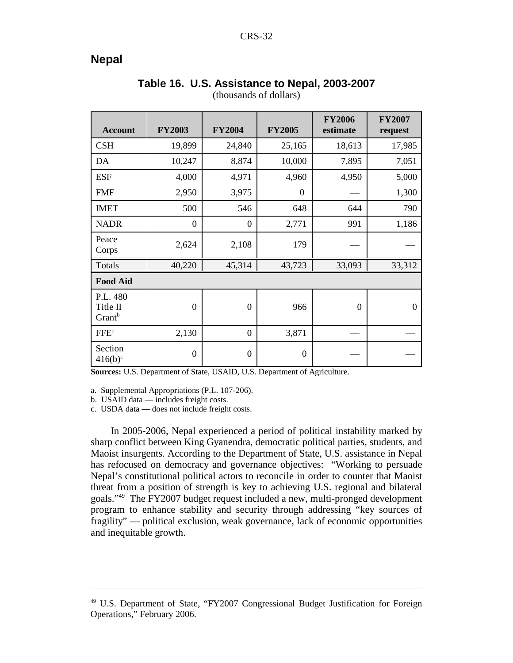# **Nepal**

| <b>Account</b>                             | <b>FY2003</b>  | <b>FY2004</b>    | <b>FY2005</b>    | <b>FY2006</b><br>estimate | <b>FY2007</b><br>request |
|--------------------------------------------|----------------|------------------|------------------|---------------------------|--------------------------|
| <b>CSH</b>                                 | 19,899         | 24,840           | 25,165           | 18,613                    | 17,985                   |
| DA                                         | 10,247         | 8,874            | 10,000           | 7,895                     | 7,051                    |
| <b>ESF</b>                                 | 4,000          | 4,971            | 4,960            | 4,950                     | 5,000                    |
| <b>FMF</b>                                 | 2,950          | 3,975            | $\theta$         |                           | 1,300                    |
| <b>IMET</b>                                | 500            | 546              | 648              | 644                       | 790                      |
| <b>NADR</b>                                | $\overline{0}$ | $\boldsymbol{0}$ | 2,771            | 991                       | 1,186                    |
| Peace<br>Corps                             | 2,624          | 2,108            | 179              |                           |                          |
| Totals                                     | 40,220         | 45,314           | 43,723           | 33,093                    | 33,312                   |
| <b>Food Aid</b>                            |                |                  |                  |                           |                          |
| P.L. 480<br>Title II<br>Grant <sup>b</sup> | $\overline{0}$ | $\mathbf{0}$     | 966              | $\boldsymbol{0}$          | $\theta$                 |
| FFE <sup>c</sup>                           | 2,130          | $\mathbf{0}$     | 3,871            |                           |                          |
| Section<br>$416(b)^c$                      | $\overline{0}$ | $\mathbf{0}$     | $\boldsymbol{0}$ |                           |                          |

#### **Table 16. U.S. Assistance to Nepal, 2003-2007** (thousands of dollars)

**Sources:** U.S. Department of State, USAID, U.S. Department of Agriculture.

a. Supplemental Appropriations (P.L. 107-206).

b. USAID data — includes freight costs.

c. USDA data — does not include freight costs.

In 2005-2006, Nepal experienced a period of political instability marked by sharp conflict between King Gyanendra, democratic political parties, students, and Maoist insurgents. According to the Department of State, U.S. assistance in Nepal has refocused on democracy and governance objectives: "Working to persuade Nepal's constitutional political actors to reconcile in order to counter that Maoist threat from a position of strength is key to achieving U.S. regional and bilateral goals."49 The FY2007 budget request included a new, multi-pronged development program to enhance stability and security through addressing "key sources of fragility" — political exclusion, weak governance, lack of economic opportunities and inequitable growth.

<sup>49</sup> U.S. Department of State, "FY2007 Congressional Budget Justification for Foreign Operations," February 2006.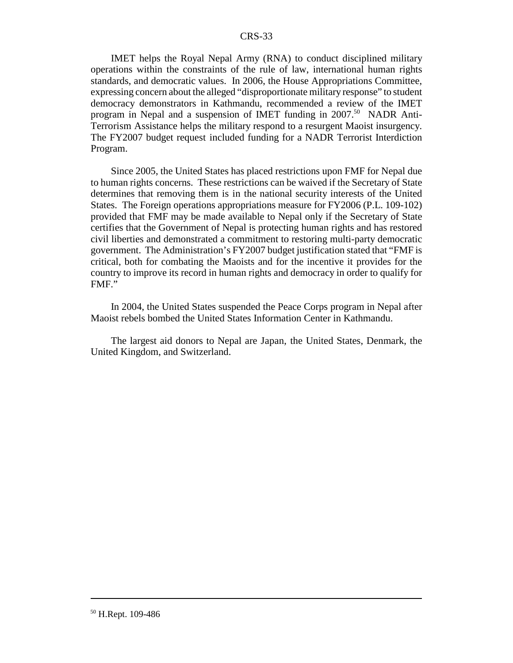IMET helps the Royal Nepal Army (RNA) to conduct disciplined military operations within the constraints of the rule of law, international human rights standards, and democratic values. In 2006, the House Appropriations Committee, expressing concern about the alleged "disproportionate military response" to student democracy demonstrators in Kathmandu, recommended a review of the IMET program in Nepal and a suspension of IMET funding in 2007.<sup>50</sup> NADR Anti-Terrorism Assistance helps the military respond to a resurgent Maoist insurgency. The FY2007 budget request included funding for a NADR Terrorist Interdiction Program.

Since 2005, the United States has placed restrictions upon FMF for Nepal due to human rights concerns. These restrictions can be waived if the Secretary of State determines that removing them is in the national security interests of the United States. The Foreign operations appropriations measure for FY2006 (P.L. 109-102) provided that FMF may be made available to Nepal only if the Secretary of State certifies that the Government of Nepal is protecting human rights and has restored civil liberties and demonstrated a commitment to restoring multi-party democratic government. The Administration's FY2007 budget justification stated that "FMF is critical, both for combating the Maoists and for the incentive it provides for the country to improve its record in human rights and democracy in order to qualify for FMF."

In 2004, the United States suspended the Peace Corps program in Nepal after Maoist rebels bombed the United States Information Center in Kathmandu.

The largest aid donors to Nepal are Japan, the United States, Denmark, the United Kingdom, and Switzerland.

50 H.Rept. 109-486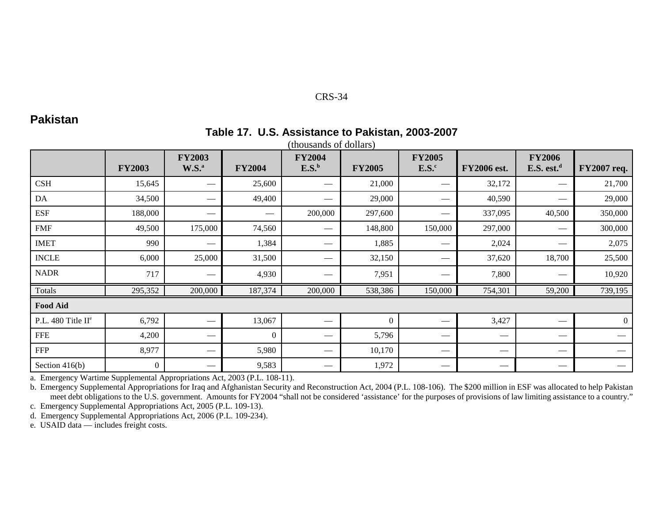# **Pakistan**

#### **Table 17. U.S. Assistance to Pakistan, 2003-2007** (thousands of dollars)

|                                | <b>FY2003</b>  | <b>FY2003</b><br>$W.S.^a$ | <b>FY2004</b> | <b>FY2004</b><br>E.S. <sup>b</sup> | <b>FY2005</b> | <b>FY2005</b><br>$E.S.^c$ | <b>FY2006</b> est. | <b>FY2006</b><br>E.S. est. <sup>d</sup> | <b>FY2007 req.</b> |  |
|--------------------------------|----------------|---------------------------|---------------|------------------------------------|---------------|---------------------------|--------------------|-----------------------------------------|--------------------|--|
| CSH                            | 15,645         |                           | 25,600        |                                    | 21,000        |                           | 32,172             |                                         | 21,700             |  |
| DA                             | 34,500         |                           | 49,400        |                                    | 29,000        |                           | 40,590             | –                                       | 29,000             |  |
| <b>ESF</b>                     | 188,000        |                           |               | 200,000                            | 297,600       |                           | 337,095            | 40,500                                  | 350,000            |  |
| <b>FMF</b>                     | 49,500         | 175,000                   | 74,560        | --                                 | 148,800       | 150,000                   | 297,000            | $\hspace{0.05cm}$                       | 300,000            |  |
| <b>IMET</b>                    | 990            |                           | 1,384         |                                    | 1,885         |                           | 2,024              | $\hspace{0.05cm}$                       | 2,075              |  |
| <b>INCLE</b>                   | 6,000          | 25,000                    | 31,500        |                                    | 32,150        |                           | 37,620             | 18,700                                  | 25,500             |  |
| <b>NADR</b>                    | 717            | $\hspace{0.05cm}$         | 4,930         |                                    | 7,951         |                           | 7,800              | $\hspace{0.05cm}$                       | 10,920             |  |
| Totals                         | 295,352        | 200,000                   | 187,374       | 200,000                            | 538,386       | 150,000                   | 754,301            | 59,200                                  | 739,195            |  |
| <b>Food Aid</b>                |                |                           |               |                                    |               |                           |                    |                                         |                    |  |
| P.L. 480 Title II <sup>e</sup> | 6,792          |                           | 13,067        |                                    | $\theta$      |                           | 3,427              |                                         | $\overline{0}$     |  |
| <b>FFE</b>                     | 4,200          |                           | $\theta$      |                                    | 5,796         |                           |                    |                                         |                    |  |
| <b>FFP</b>                     | 8,977          |                           | 5,980         |                                    | 10,170        |                           |                    | $\hspace{0.1mm}-\hspace{0.1mm}$         |                    |  |
| Section $416(b)$               | $\overline{0}$ |                           | 9,583         |                                    | 1,972         |                           |                    | $\hspace{0.05cm}$                       |                    |  |

a. Emergency Wartime Supplemental Appropriations Act, 2003 (P.L. 108-11).

b. Emergency Supplemental Appropriations for Iraq and Afghanistan Security and Reconstruction Act, 2004 (P.L. 108-106). The \$200 million in ESF was allocated to help Pakistan meet debt obligations to the U.S. government. Amounts for FY2004 "shall not be considered 'assistance' for the purposes of provisions of law limiting assistance to a country."

c. Emergency Supplemental Appropriations Act, 2005 (P.L. 109-13).

d. Emergency Supplemental Appropriations Act, 2006 (P.L. 109-234).

e. USAID data — includes freight costs.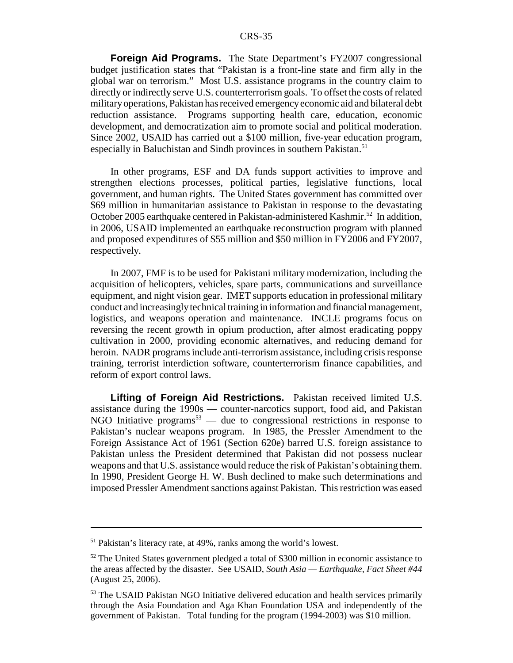**Foreign Aid Programs.** The State Department's FY2007 congressional budget justification states that "Pakistan is a front-line state and firm ally in the global war on terrorism." Most U.S. assistance programs in the country claim to directly or indirectly serve U.S. counterterrorism goals. To offset the costs of related military operations, Pakistan has received emergency economic aid and bilateral debt reduction assistance. Programs supporting health care, education, economic development, and democratization aim to promote social and political moderation. Since 2002, USAID has carried out a \$100 million, five-year education program, especially in Baluchistan and Sindh provinces in southern Pakistan.<sup>51</sup>

In other programs, ESF and DA funds support activities to improve and strengthen elections processes, political parties, legislative functions, local government, and human rights. The United States government has committed over \$69 million in humanitarian assistance to Pakistan in response to the devastating October 2005 earthquake centered in Pakistan-administered Kashmir.<sup>52</sup> In addition, in 2006, USAID implemented an earthquake reconstruction program with planned and proposed expenditures of \$55 million and \$50 million in FY2006 and FY2007, respectively.

In 2007, FMF is to be used for Pakistani military modernization, including the acquisition of helicopters, vehicles, spare parts, communications and surveillance equipment, and night vision gear. IMET supports education in professional military conduct and increasingly technical training in information and financial management, logistics, and weapons operation and maintenance. INCLE programs focus on reversing the recent growth in opium production, after almost eradicating poppy cultivation in 2000, providing economic alternatives, and reducing demand for heroin. NADR programs include anti-terrorism assistance, including crisis response training, terrorist interdiction software, counterterrorism finance capabilities, and reform of export control laws.

**Lifting of Foreign Aid Restrictions.** Pakistan received limited U.S. assistance during the 1990s — counter-narcotics support, food aid, and Pakistan NGO Initiative programs<sup>53</sup> — due to congressional restrictions in response to Pakistan's nuclear weapons program. In 1985, the Pressler Amendment to the Foreign Assistance Act of 1961 (Section 620e) barred U.S. foreign assistance to Pakistan unless the President determined that Pakistan did not possess nuclear weapons and that U.S. assistance would reduce the risk of Pakistan's obtaining them. In 1990, President George H. W. Bush declined to make such determinations and imposed Pressler Amendment sanctions against Pakistan. This restriction was eased

<sup>51</sup> Pakistan's literacy rate, at 49%, ranks among the world's lowest.

 $52$  The United States government pledged a total of \$300 million in economic assistance to the areas affected by the disaster. See USAID, *South Asia — Earthquake, Fact Sheet #44* (August 25, 2006).

<sup>&</sup>lt;sup>53</sup> The USAID Pakistan NGO Initiative delivered education and health services primarily through the Asia Foundation and Aga Khan Foundation USA and independently of the government of Pakistan. Total funding for the program (1994-2003) was \$10 million.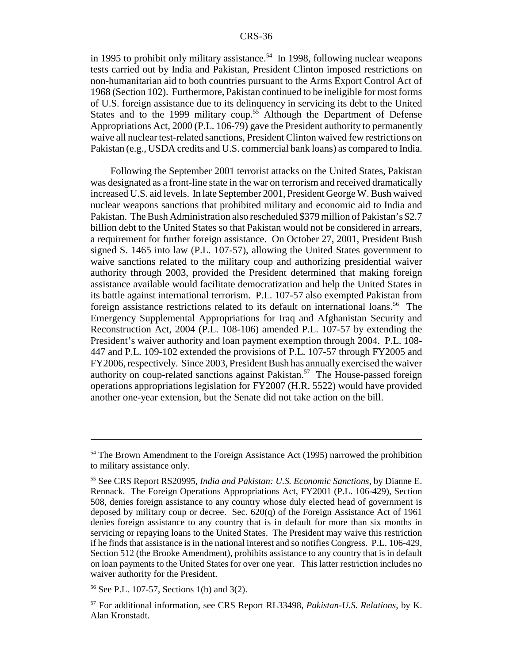in 1995 to prohibit only military assistance.<sup>54</sup> In 1998, following nuclear weapons tests carried out by India and Pakistan, President Clinton imposed restrictions on non-humanitarian aid to both countries pursuant to the Arms Export Control Act of 1968 (Section 102). Furthermore, Pakistan continued to be ineligible for most forms of U.S. foreign assistance due to its delinquency in servicing its debt to the United States and to the 1999 military coup.<sup>55</sup> Although the Department of Defense Appropriations Act, 2000 (P.L. 106-79) gave the President authority to permanently waive all nuclear test-related sanctions, President Clinton waived few restrictions on Pakistan (e.g., USDA credits and U.S. commercial bank loans) as compared to India.

Following the September 2001 terrorist attacks on the United States, Pakistan was designated as a front-line state in the war on terrorism and received dramatically increased U.S. aid levels. In late September 2001, President George W. Bush waived nuclear weapons sanctions that prohibited military and economic aid to India and Pakistan. The Bush Administration also rescheduled \$379 million of Pakistan's \$2.7 billion debt to the United States so that Pakistan would not be considered in arrears, a requirement for further foreign assistance. On October 27, 2001, President Bush signed S. 1465 into law (P.L. 107-57), allowing the United States government to waive sanctions related to the military coup and authorizing presidential waiver authority through 2003, provided the President determined that making foreign assistance available would facilitate democratization and help the United States in its battle against international terrorism. P.L. 107-57 also exempted Pakistan from foreign assistance restrictions related to its default on international loans.<sup>56</sup> The Emergency Supplemental Appropriations for Iraq and Afghanistan Security and Reconstruction Act, 2004 (P.L. 108-106) amended P.L. 107-57 by extending the President's waiver authority and loan payment exemption through 2004. P.L. 108- 447 and P.L. 109-102 extended the provisions of P.L. 107-57 through FY2005 and FY2006, respectively. Since 2003, President Bush has annually exercised the waiver authority on coup-related sanctions against Pakistan.<sup>57</sup> The House-passed foreign operations appropriations legislation for FY2007 (H.R. 5522) would have provided another one-year extension, but the Senate did not take action on the bill.

56 See P.L. 107-57, Sections 1(b) and 3(2).

<sup>&</sup>lt;sup>54</sup> The Brown Amendment to the Foreign Assistance Act (1995) narrowed the prohibition to military assistance only.

<sup>55</sup> See CRS Report RS20995, *India and Pakistan: U.S. Economic Sanctions*, by Dianne E. Rennack. The Foreign Operations Appropriations Act, FY2001 (P.L. 106-429), Section 508, denies foreign assistance to any country whose duly elected head of government is deposed by military coup or decree. Sec. 620(q) of the Foreign Assistance Act of 1961 denies foreign assistance to any country that is in default for more than six months in servicing or repaying loans to the United States. The President may waive this restriction if he finds that assistance is in the national interest and so notifies Congress. P.L. 106-429, Section 512 (the Brooke Amendment), prohibits assistance to any country that is in default on loan payments to the United States for over one year. This latter restriction includes no waiver authority for the President.

<sup>57</sup> For additional information, see CRS Report RL33498, *Pakistan-U.S. Relations*, by K. Alan Kronstadt.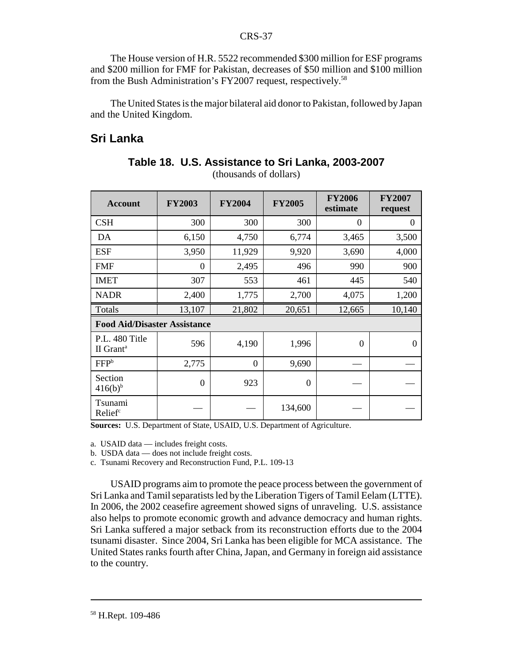The House version of H.R. 5522 recommended \$300 million for ESF programs and \$200 million for FMF for Pakistan, decreases of \$50 million and \$100 million from the Bush Administration's FY2007 request, respectively.58

The United States is the major bilateral aid donor to Pakistan, followed by Japan and the United Kingdom.

# **Sri Lanka**

| <b>Account</b>                          | <b>FY2003</b>  | <b>FY2004</b>  | <b>FY2005</b> | <b>FY2006</b><br>estimate | <b>FY2007</b><br>request |
|-----------------------------------------|----------------|----------------|---------------|---------------------------|--------------------------|
| <b>CSH</b>                              | 300            | 300            | 300           | $\theta$                  | $\theta$                 |
| DA                                      | 6,150          | 4,750          | 6,774         | 3,465                     | 3,500                    |
| <b>ESF</b>                              | 3,950          | 11,929         | 9,920         | 3,690                     | 4,000                    |
| <b>FMF</b>                              | $\overline{0}$ | 2,495          | 496           | 990                       | 900                      |
| <b>IMET</b>                             | 307            | 553            | 461           | 445                       | 540                      |
| <b>NADR</b>                             | 2,400          | 1,775          | 2,700         | 4,075                     | 1,200                    |
| Totals                                  | 13,107         | 21,802         | 20,651        | 12,665                    | 10,140                   |
| <b>Food Aid/Disaster Assistance</b>     |                |                |               |                           |                          |
| P.L. 480 Title<br>II Grant <sup>a</sup> | 596            | 4,190          | 1,996         | $\theta$                  | $\Omega$                 |
| FFP <sup>b</sup>                        | 2,775          | $\overline{0}$ | 9,690         |                           |                          |
| Section<br>$416(b)^{b}$                 | $\overline{0}$ | 923            | $\theta$      |                           |                          |
| Tsunami<br>Relief                       |                |                | 134,600       |                           |                          |

**Table 18. U.S. Assistance to Sri Lanka, 2003-2007** (thousands of dollars)

Sources: U.S. Department of State, USAID, U.S. Department of Agriculture.

a. USAID data — includes freight costs.

b. USDA data — does not include freight costs.

c. Tsunami Recovery and Reconstruction Fund, P.L. 109-13

USAID programs aim to promote the peace process between the government of Sri Lanka and Tamil separatists led by the Liberation Tigers of Tamil Eelam (LTTE). In 2006, the 2002 ceasefire agreement showed signs of unraveling. U.S. assistance also helps to promote economic growth and advance democracy and human rights. Sri Lanka suffered a major setback from its reconstruction efforts due to the 2004 tsunami disaster. Since 2004, Sri Lanka has been eligible for MCA assistance. The United States ranks fourth after China, Japan, and Germany in foreign aid assistance to the country.

<sup>58</sup> H.Rept. 109-486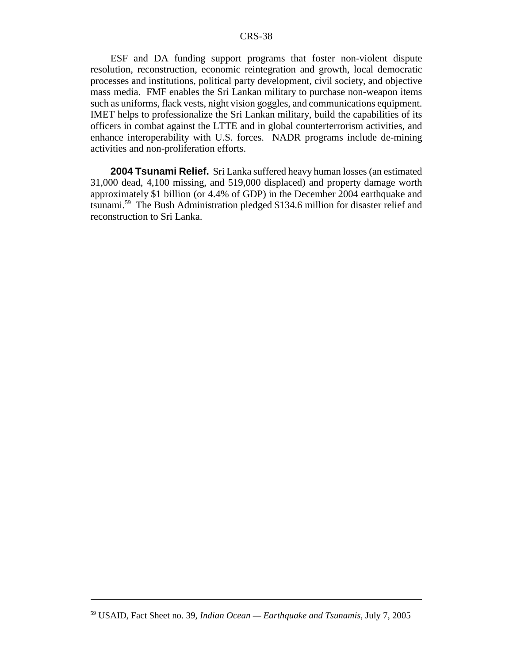ESF and DA funding support programs that foster non-violent dispute resolution, reconstruction, economic reintegration and growth, local democratic processes and institutions, political party development, civil society, and objective mass media. FMF enables the Sri Lankan military to purchase non-weapon items such as uniforms, flack vests, night vision goggles, and communications equipment. IMET helps to professionalize the Sri Lankan military, build the capabilities of its officers in combat against the LTTE and in global counterterrorism activities, and enhance interoperability with U.S. forces. NADR programs include de-mining activities and non-proliferation efforts.

**2004 Tsunami Relief.** Sri Lanka suffered heavy human losses (an estimated 31,000 dead, 4,100 missing, and 519,000 displaced) and property damage worth approximately \$1 billion (or 4.4% of GDP) in the December 2004 earthquake and tsunami.59 The Bush Administration pledged \$134.6 million for disaster relief and reconstruction to Sri Lanka.

<sup>59</sup> USAID, Fact Sheet no. 39, *Indian Ocean — Earthquake and Tsunamis*, July 7, 2005